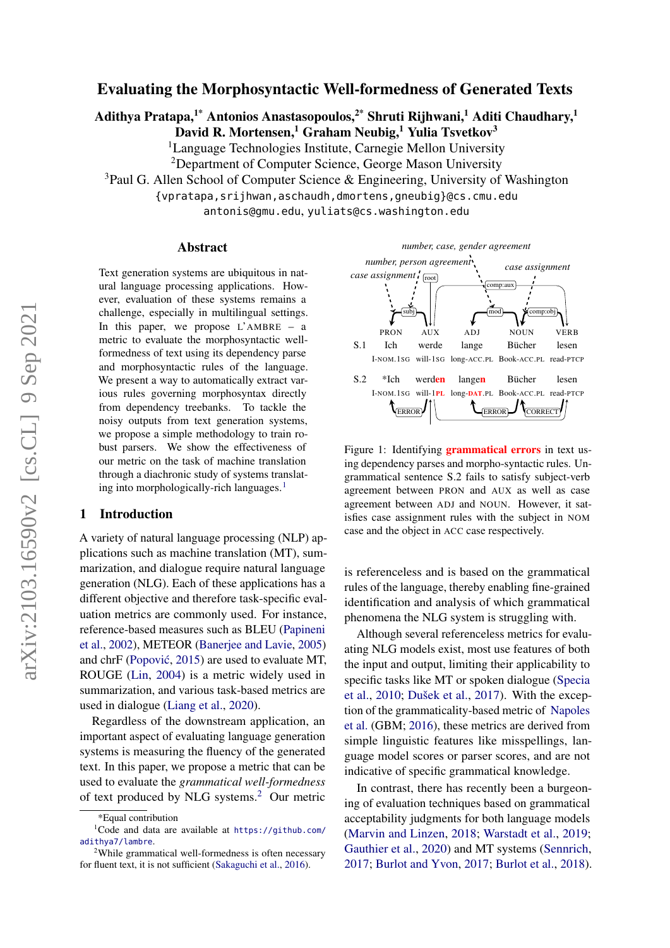# Evaluating the Morphosyntactic Well-formedness of Generated Texts

Adithya Pratapa,<sup>1\*</sup> Antonios Anastasopoulos,<sup>2\*</sup> Shruti Rijhwani,<sup>1</sup> Aditi Chaudhary,<sup>1</sup>

David R. Mortensen,<sup>1</sup> Graham Neubig,<sup>1</sup> Yulia Tsvetkov<sup>3</sup>

<sup>1</sup>Language Technologies Institute, Carnegie Mellon University

<sup>2</sup>Department of Computer Science, George Mason University

<sup>3</sup>Paul G. Allen School of Computer Science & Engineering, University of Washington

{vpratapa,srijhwan,aschaudh,dmortens,gneubig}@cs.cmu.edu

antonis@gmu.edu, yuliats@cs.washington.edu

#### Abstract

Text generation systems are ubiquitous in natural language processing applications. However, evaluation of these systems remains a challenge, especially in multilingual settings. In this paper, we propose  $L$ <sup>AMBRE</sup> – a metric to evaluate the morphosyntactic wellformedness of text using its dependency parse and morphosyntactic rules of the language. We present a way to automatically extract various rules governing morphosyntax directly from dependency treebanks. To tackle the noisy outputs from text generation systems, we propose a simple methodology to train robust parsers. We show the effectiveness of our metric on the task of machine translation through a diachronic study of systems translat-ing into morphologically-rich languages.<sup>[1](#page-0-1)</sup>

### 1 Introduction

A variety of natural language processing (NLP) applications such as machine translation (MT), summarization, and dialogue require natural language generation (NLG). Each of these applications has a different objective and therefore task-specific evaluation metrics are commonly used. For instance, reference-based measures such as BLEU [\(Papineni](#page-10-0) [et al.,](#page-10-0) [2002\)](#page-10-0), METEOR [\(Banerjee and Lavie,](#page-8-0) [2005\)](#page-8-0) and chrF [\(Popovic´,](#page-10-1) [2015\)](#page-10-1) are used to evaluate MT, ROUGE [\(Lin,](#page-10-2) [2004\)](#page-10-2) is a metric widely used in summarization, and various task-based metrics are used in dialogue [\(Liang et al.,](#page-9-0) [2020\)](#page-9-0).

Regardless of the downstream application, an important aspect of evaluating language generation systems is measuring the fluency of the generated text. In this paper, we propose a metric that can be used to evaluate the *grammatical well-formedness* of text produced by NLG systems.[2](#page-0-2) Our metric

<span id="page-0-3"></span>

Figure 1: Identifying **grammatical errors** in text using dependency parses and morpho-syntactic rules. Ungrammatical sentence S.2 fails to satisfy subject-verb agreement between PRON and AUX as well as case agreement between ADJ and NOUN. However, it satisfies case assignment rules with the subject in NOM case and the object in ACC case respectively.

is referenceless and is based on the grammatical rules of the language, thereby enabling fine-grained identification and analysis of which grammatical phenomena the NLG system is struggling with.

Although several referenceless metrics for evaluating NLG models exist, most use features of both the input and output, limiting their applicability to specific tasks like MT or spoken dialogue [\(Specia](#page-11-1) [et al.,](#page-11-1) [2010;](#page-11-1) [Dušek et al.,](#page-9-1) [2017\)](#page-9-1). With the exception of the grammaticality-based metric of [Napoles](#page-10-3) [et al.](#page-10-3) (GBM; [2016\)](#page-10-3), these metrics are derived from simple linguistic features like misspellings, language model scores or parser scores, and are not indicative of specific grammatical knowledge.

In contrast, there has recently been a burgeoning of evaluation techniques based on grammatical acceptability judgments for both language models [\(Marvin and Linzen,](#page-10-4) [2018;](#page-10-4) [Warstadt et al.,](#page-11-2) [2019;](#page-11-2) [Gauthier et al.,](#page-9-2) [2020\)](#page-9-2) and MT systems [\(Sennrich,](#page-11-3) [2017;](#page-11-3) [Burlot and Yvon,](#page-9-3) [2017;](#page-9-3) [Burlot et al.,](#page-9-4) [2018\)](#page-9-4).

<span id="page-0-1"></span><span id="page-0-0"></span><sup>\*</sup>Equal contribution

<sup>&</sup>lt;sup>1</sup>Code and data are available at  $h$ ttps://github.com/ [adithya7/lambre](https://github.com/adithya7/lambre).

<span id="page-0-2"></span><sup>2</sup>While grammatical well-formedness is often necessary for fluent text, it is not sufficient [\(Sakaguchi et al.,](#page-11-0) [2016\)](#page-11-0).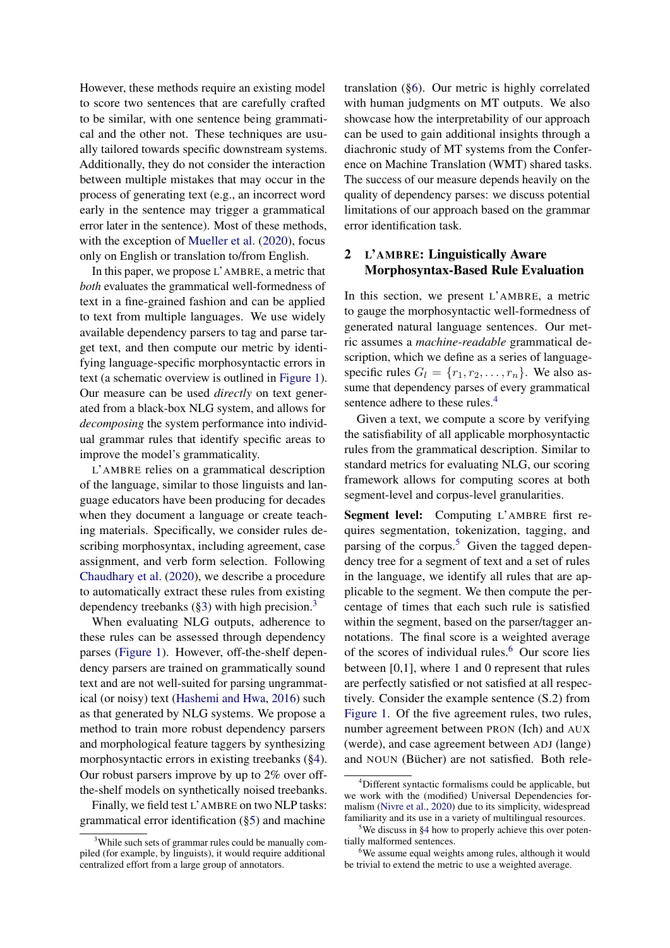However, these methods require an existing model to score two sentences that are carefully crafted to be similar, with one sentence being grammatical and the other not. These techniques are usually tailored towards specific downstream systems. Additionally, they do not consider the interaction between multiple mistakes that may occur in the process of generating text (e.g., an incorrect word early in the sentence may trigger a grammatical error later in the sentence). Most of these methods, with the exception of [Mueller et al.](#page-10-5) [\(2020\)](#page-10-5), focus only on English or translation to/from English.

In this paper, we propose L'AMBRE, a metric that *both* evaluates the grammatical well-formedness of text in a fine-grained fashion and can be applied to text from multiple languages. We use widely available dependency parsers to tag and parse target text, and then compute our metric by identifying language-specific morphosyntactic errors in text (a schematic overview is outlined in [Figure 1\)](#page-0-3). Our measure can be used *directly* on text generated from a black-box NLG system, and allows for *decomposing* the system performance into individual grammar rules that identify specific areas to improve the model's grammaticality.

L'AMBRE relies on a grammatical description of the language, similar to those linguists and language educators have been producing for decades when they document a language or create teaching materials. Specifically, we consider rules describing morphosyntax, including agreement, case assignment, and verb form selection. Following [Chaudhary et al.](#page-9-5) [\(2020\)](#page-9-5), we describe a procedure to automatically extract these rules from existing dependency treebanks  $(\S 3)$  $(\S 3)$  $(\S 3)$  with high precision.<sup>3</sup>

When evaluating NLG outputs, adherence to these rules can be assessed through dependency parses [\(Figure 1\)](#page-0-3). However, off-the-shelf dependency parsers are trained on grammatically sound text and are not well-suited for parsing ungrammatical (or noisy) text [\(Hashemi and Hwa,](#page-9-6) [2016\)](#page-9-6) such as that generated by NLG systems. We propose a method to train more robust dependency parsers and morphological feature taggers by synthesizing morphosyntactic errors in existing treebanks ([§4\)](#page-3-0). Our robust parsers improve by up to 2% over offthe-shelf models on synthetically noised treebanks.

Finally, we field test L'AMBRE on two NLP tasks: grammatical error identification ([§5\)](#page-4-0) and machine

translation ([§6\)](#page-6-0). Our metric is highly correlated with human judgments on MT outputs. We also showcase how the interpretability of our approach can be used to gain additional insights through a diachronic study of MT systems from the Conference on Machine Translation (WMT) shared tasks. The success of our measure depends heavily on the quality of dependency parses: we discuss potential limitations of our approach based on the grammar error identification task.

## 2 L'AMBRE: Linguistically Aware Morphosyntax-Based Rule Evaluation

In this section, we present L'AMBRE, a metric to gauge the morphosyntactic well-formedness of generated natural language sentences. Our metric assumes a *machine-readable* grammatical description, which we define as a series of languagespecific rules  $G_l = \{r_1, r_2, \ldots, r_n\}$ . We also assume that dependency parses of every grammatical sentence adhere to these rules.<sup>[4](#page-1-1)</sup>

Given a text, we compute a score by verifying the satisfiability of all applicable morphosyntactic rules from the grammatical description. Similar to standard metrics for evaluating NLG, our scoring framework allows for computing scores at both segment-level and corpus-level granularities.

Segment level: Computing L'AMBRE first requires segmentation, tokenization, tagging, and parsing of the corpus.<sup>[5](#page-1-2)</sup> Given the tagged dependency tree for a segment of text and a set of rules in the language, we identify all rules that are applicable to the segment. We then compute the percentage of times that each such rule is satisfied within the segment, based on the parser/tagger annotations. The final score is a weighted average of the scores of individual rules.<sup>[6](#page-1-3)</sup> Our score lies between [0,1], where 1 and 0 represent that rules are perfectly satisfied or not satisfied at all respectively. Consider the example sentence (S.2) from [Figure 1.](#page-0-3) Of the five agreement rules, two rules, number agreement between PRON (Ich) and AUX (werde), and case agreement between ADJ (lange) and NOUN (Bücher) are not satisfied. Both rele-

<span id="page-1-0"></span><sup>&</sup>lt;sup>3</sup>While such sets of grammar rules could be manually compiled (for example, by linguists), it would require additional centralized effort from a large group of annotators.

<span id="page-1-1"></span><sup>4</sup>Different syntactic formalisms could be applicable, but we work with the (modified) Universal Dependencies formalism [\(Nivre et al.,](#page-10-6) [2020\)](#page-10-6) due to its simplicity, widespread familiarity and its use in a variety of multilingual resources.

<span id="page-1-2"></span><sup>&</sup>lt;sup>5</sup>We discuss in [§4](#page-3-0) how to properly achieve this over potentially malformed sentences.

<span id="page-1-3"></span><sup>&</sup>lt;sup>6</sup>We assume equal weights among rules, although it would be trivial to extend the metric to use a weighted average.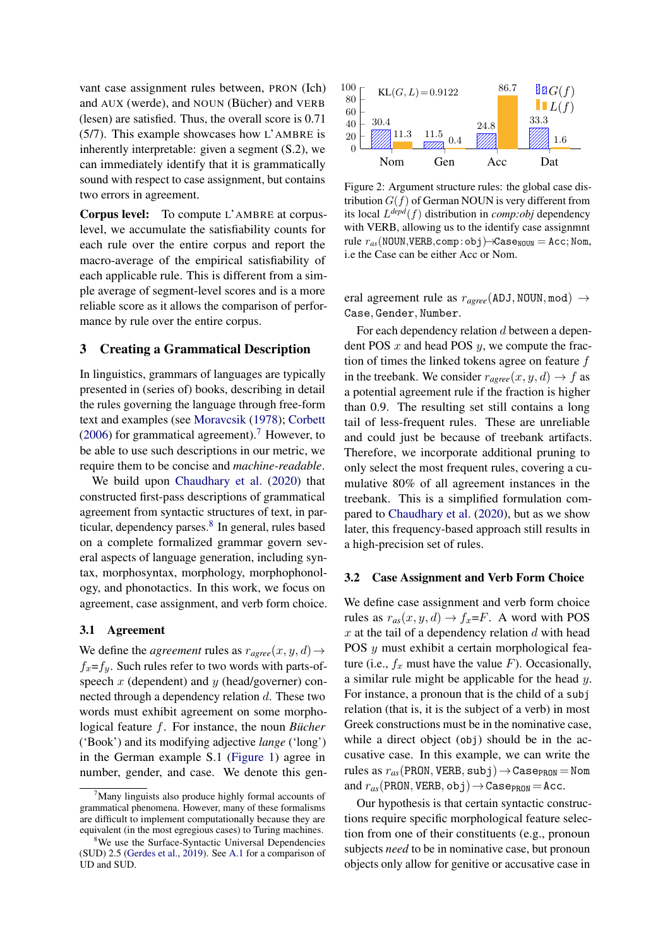vant case assignment rules between, PRON (Ich) and AUX (werde), and NOUN (Bücher) and VERB (lesen) are satisfied. Thus, the overall score is 0.71 (5/7). This example showcases how L'AMBRE is inherently interpretable: given a segment (S.2), we can immediately identify that it is grammatically sound with respect to case assignment, but contains two errors in agreement.

Corpus level: To compute L'AMBRE at corpuslevel, we accumulate the satisfiability counts for each rule over the entire corpus and report the macro-average of the empirical satisfiability of each applicable rule. This is different from a simple average of segment-level scores and is a more reliable score as it allows the comparison of performance by rule over the entire corpus.

### <span id="page-2-0"></span>3 Creating a Grammatical Description

In linguistics, grammars of languages are typically presented in (series of) books, describing in detail the rules governing the language through free-form text and examples (see [Moravcsik](#page-10-7) [\(1978\)](#page-10-7); [Corbett](#page-9-7) [\(2006\)](#page-9-7) for grammatical agreement).<sup>[7](#page-2-1)</sup> However, to be able to use such descriptions in our metric, we require them to be concise and *machine-readable*.

We build upon [Chaudhary et al.](#page-9-5) [\(2020\)](#page-9-5) that constructed first-pass descriptions of grammatical agreement from syntactic structures of text, in par-ticular, dependency parses.<sup>[8](#page-2-2)</sup> In general, rules based on a complete formalized grammar govern several aspects of language generation, including syntax, morphosyntax, morphology, morphophonology, and phonotactics. In this work, we focus on agreement, case assignment, and verb form choice.

### 3.1 Agreement

We define the *agreement* rules as  $r_{agree}(x, y, d) \rightarrow$  $f_x = f_y$ . Such rules refer to two words with parts-ofspeech  $x$  (dependent) and  $y$  (head/governer) connected through a dependency relation d. These two words must exhibit agreement on some morphological feature f. For instance, the noun *Bücher* ('Book') and its modifying adjective *lange* ('long') in the German example S.1 [\(Figure 1\)](#page-0-3) agree in number, gender, and case. We denote this gen-

<span id="page-2-3"></span>

Figure 2: Argument structure rules: the global case distribution  $G(f)$  of German NOUN is very different from its local L *depd*(f) distribution in *comp:obj* dependency with VERB, allowing us to the identify case assignmnt rule  $r_{as}$ (NOUN, VERB, comp:obj)  $\rightarrow$ Case<sub>NOUN</sub> = Acc; Nom, i.e the Case can be either Acc or Nom.

eral agreement rule as  $r_{agree}$ (ADJ, NOUN, mod)  $\rightarrow$ Case, Gender, Number.

For each dependency relation d between a dependent POS  $x$  and head POS  $y$ , we compute the fraction of times the linked tokens agree on feature  $f$ in the treebank. We consider  $r_{agree}(x, y, d) \rightarrow f$  as a potential agreement rule if the fraction is higher than 0.9. The resulting set still contains a long tail of less-frequent rules. These are unreliable and could just be because of treebank artifacts. Therefore, we incorporate additional pruning to only select the most frequent rules, covering a cumulative 80% of all agreement instances in the treebank. This is a simplified formulation compared to [Chaudhary et al.](#page-9-5) [\(2020\)](#page-9-5), but as we show later, this frequency-based approach still results in a high-precision set of rules.

#### 3.2 Case Assignment and Verb Form Choice

We define case assignment and verb form choice rules as  $r_{as}(x, y, d) \rightarrow f_x = F$ . A word with POS  $x$  at the tail of a dependency relation  $d$  with head POS y must exhibit a certain morphological feature (i.e.,  $f_x$  must have the value  $F$ ). Occasionally, a similar rule might be applicable for the head y. For instance, a pronoun that is the child of a subj relation (that is, it is the subject of a verb) in most Greek constructions must be in the nominative case, while a direct object (obj) should be in the accusative case. In this example, we can write the rules as  $r_{as}$ (PRON, VERB, subj)  $\rightarrow$  Case<sub>PRON</sub> = Nom and  $r_{as}$ (PRON, VERB, obj)  $\rightarrow$  Case<sub>PRON</sub> = Acc.

Our hypothesis is that certain syntactic constructions require specific morphological feature selection from one of their constituents (e.g., pronoun subjects *need* to be in nominative case, but pronoun objects only allow for genitive or accusative case in

<span id="page-2-1"></span> $\beta$ Many linguists also produce highly formal accounts of grammatical phenomena. However, many of these formalisms are difficult to implement computationally because they are equivalent (in the most egregious cases) to Turing machines.

<span id="page-2-2"></span><sup>&</sup>lt;sup>8</sup>We use the Surface-Syntactic Universal Dependencies (SUD) 2.5 [\(Gerdes et al.,](#page-9-8) [2019\)](#page-9-8). See [A.1](#page-12-0) for a comparison of UD and SUD.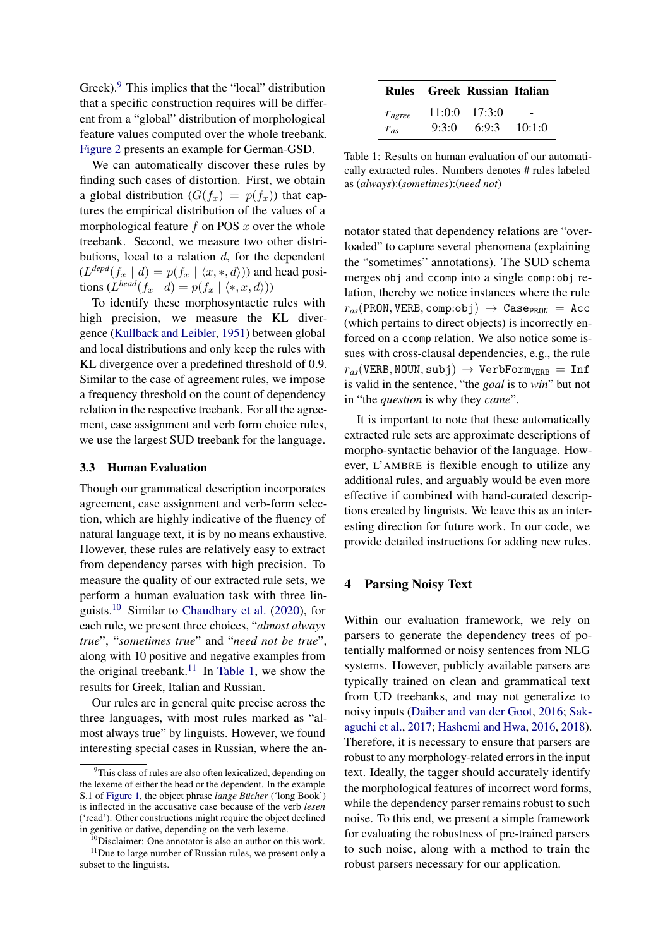Greek).<sup>[9](#page-3-1)</sup> This implies that the "local" distribution that a specific construction requires will be different from a "global" distribution of morphological feature values computed over the whole treebank. [Figure 2](#page-2-3) presents an example for German-GSD.

We can automatically discover these rules by finding such cases of distortion. First, we obtain a global distribution  $(G(f_x) = p(f_x))$  that captures the empirical distribution of the values of a morphological feature  $f$  on POS  $x$  over the whole treebank. Second, we measure two other distributions, local to a relation  $d$ , for the dependent  $(L^{depd}(f_x \mid d) = p(f_x \mid \langle x, \ast, d \rangle))$  and head positions  $(L^{head}(f_x \mid d) = p(f_x \mid \langle *, x, d \rangle))$ 

To identify these morphosyntactic rules with high precision, we measure the KL divergence [\(Kullback and Leibler,](#page-9-9) [1951\)](#page-9-9) between global and local distributions and only keep the rules with KL divergence over a predefined threshold of 0.9. Similar to the case of agreement rules, we impose a frequency threshold on the count of dependency relation in the respective treebank. For all the agreement, case assignment and verb form choice rules, we use the largest SUD treebank for the language.

#### 3.3 Human Evaluation

Though our grammatical description incorporates agreement, case assignment and verb-form selection, which are highly indicative of the fluency of natural language text, it is by no means exhaustive. However, these rules are relatively easy to extract from dependency parses with high precision. To measure the quality of our extracted rule sets, we perform a human evaluation task with three linguists.[10](#page-3-2) Similar to [Chaudhary et al.](#page-9-5) [\(2020\)](#page-9-5), for each rule, we present three choices, "*almost always true*", "*sometimes true*" and "*need not be true*", along with 10 positive and negative examples from the original treebank.<sup>[11](#page-3-3)</sup> In [Table 1,](#page-3-4) we show the results for Greek, Italian and Russian.

Our rules are in general quite precise across the three languages, with most rules marked as "almost always true" by linguists. However, we found interesting special cases in Russian, where the an-

<span id="page-3-4"></span>

|             |       | Rules Greek Russian Italian |        |
|-------------|-------|-----------------------------|--------|
| $r_{agree}$ |       | $11:0:0$ $17:3:0$           |        |
| $r_{as}$    | 9:3:0 | 6:9:3                       | 10:1:0 |

Table 1: Results on human evaluation of our automatically extracted rules. Numbers denotes # rules labeled as (*always*):(*sometimes*):(*need not*)

notator stated that dependency relations are "overloaded" to capture several phenomena (explaining the "sometimes" annotations). The SUD schema merges obj and ccomp into a single comp:obj relation, thereby we notice instances where the rule  $r_{as}$ (PRON, VERB, comp:obj)  $\rightarrow$  Case<sub>PRON</sub> = Acc (which pertains to direct objects) is incorrectly enforced on a ccomp relation. We also notice some issues with cross-clausal dependencies, e.g., the rule  $r_{as}$ (VERB, NOUN, subj)  $\rightarrow$  VerbForm<sub>VERB</sub> = Inf is valid in the sentence, "the *goal* is to *win*" but not in "the *question* is why they *came*".

It is important to note that these automatically extracted rule sets are approximate descriptions of morpho-syntactic behavior of the language. However, L'AMBRE is flexible enough to utilize any additional rules, and arguably would be even more effective if combined with hand-curated descriptions created by linguists. We leave this as an interesting direction for future work. In our code, we provide detailed instructions for adding new rules.

## <span id="page-3-0"></span>4 Parsing Noisy Text

Within our evaluation framework, we rely on parsers to generate the dependency trees of potentially malformed or noisy sentences from NLG systems. However, publicly available parsers are typically trained on clean and grammatical text from UD treebanks, and may not generalize to noisy inputs [\(Daiber and van der Goot,](#page-9-10) [2016;](#page-9-10) [Sak](#page-11-4)[aguchi et al.,](#page-11-4) [2017;](#page-11-4) [Hashemi and Hwa,](#page-9-6) [2016,](#page-9-6) [2018\)](#page-9-11). Therefore, it is necessary to ensure that parsers are robust to any morphology-related errors in the input text. Ideally, the tagger should accurately identify the morphological features of incorrect word forms, while the dependency parser remains robust to such noise. To this end, we present a simple framework for evaluating the robustness of pre-trained parsers to such noise, along with a method to train the robust parsers necessary for our application.

<span id="page-3-1"></span><sup>&</sup>lt;sup>9</sup>This class of rules are also often lexicalized, depending on the lexeme of either the head or the dependent. In the example S.1 of [Figure 1,](#page-0-3) the object phrase *lange Bücher* ('long Book') is inflected in the accusative case because of the verb *lesen* ('read'). Other constructions might require the object declined in genitive or dative, depending on the verb lexeme.

<span id="page-3-3"></span><span id="page-3-2"></span><sup>&</sup>lt;sup>10</sup>Disclaimer: One annotator is also an author on this work.  $11$ Due to large number of Russian rules, we present only a subset to the linguists.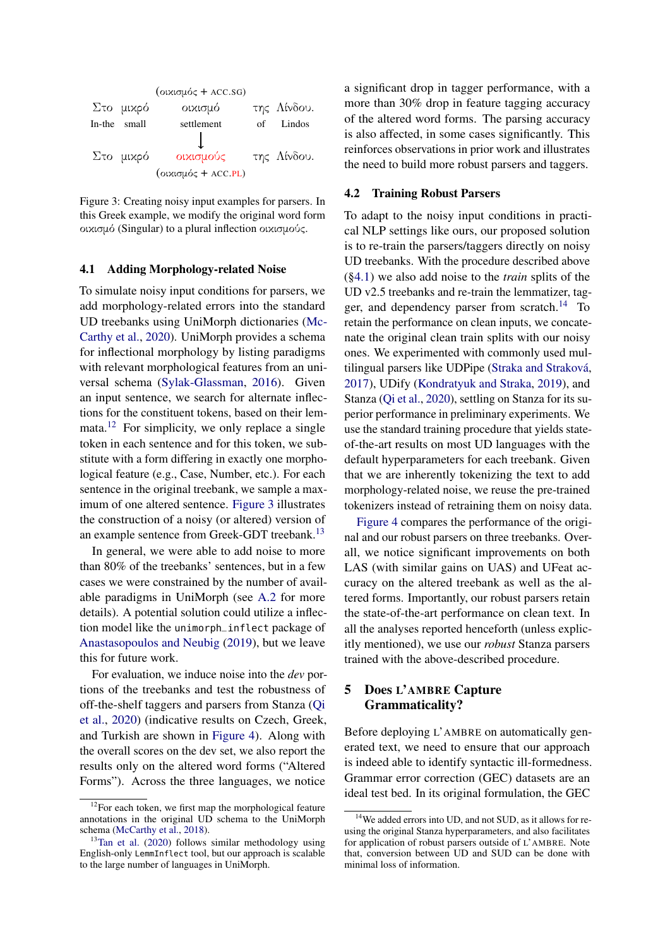<span id="page-4-2"></span>

Figure 3: Creating noisy input examples for parsers. In this Greek example, we modify the original word form οικισμό (Singular) to a plural inflection οικισμούς.

### <span id="page-4-4"></span>4.1 Adding Morphology-related Noise

To simulate noisy input conditions for parsers, we add morphology-related errors into the standard UD treebanks using UniMorph dictionaries [\(Mc-](#page-10-8)[Carthy et al.,](#page-10-8) [2020\)](#page-10-8). UniMorph provides a schema for inflectional morphology by listing paradigms with relevant morphological features from an universal schema [\(Sylak-Glassman,](#page-11-5) [2016\)](#page-11-5). Given an input sentence, we search for alternate inflections for the constituent tokens, based on their lemmata.[12](#page-4-1) For simplicity, we only replace a single token in each sentence and for this token, we substitute with a form differing in exactly one morphological feature (e.g., Case, Number, etc.). For each sentence in the original treebank, we sample a maximum of one altered sentence. [Figure 3](#page-4-2) illustrates the construction of a noisy (or altered) version of an example sentence from Greek-GDT treebank.<sup>[13](#page-4-3)</sup>

In general, we were able to add noise to more than 80% of the treebanks' sentences, but in a few cases we were constrained by the number of available paradigms in UniMorph (see [A.2](#page-12-1) for more details). A potential solution could utilize a inflection model like the unimorph\_inflect package of [Anastasopoulos and Neubig](#page-8-1) [\(2019\)](#page-8-1), but we leave this for future work.

For evaluation, we induce noise into the *dev* portions of the treebanks and test the robustness of off-the-shelf taggers and parsers from Stanza [\(Qi](#page-11-6) [et al.,](#page-11-6) [2020\)](#page-11-6) (indicative results on Czech, Greek, and Turkish are shown in [Figure 4\)](#page-5-0). Along with the overall scores on the dev set, we also report the results only on the altered word forms ("Altered Forms"). Across the three languages, we notice

a significant drop in tagger performance, with a more than 30% drop in feature tagging accuracy of the altered word forms. The parsing accuracy is also affected, in some cases significantly. This reinforces observations in prior work and illustrates the need to build more robust parsers and taggers.

### 4.2 Training Robust Parsers

To adapt to the noisy input conditions in practical NLP settings like ours, our proposed solution is to re-train the parsers/taggers directly on noisy UD treebanks. With the procedure described above ([§4.1\)](#page-4-4) we also add noise to the *train* splits of the UD v2.5 treebanks and re-train the lemmatizer, tag-ger, and dependency parser from scratch.<sup>[14](#page-4-5)</sup> To retain the performance on clean inputs, we concatenate the original clean train splits with our noisy ones. We experimented with commonly used multilingual parsers like UDPipe [\(Straka and Straková,](#page-11-8) [2017\)](#page-11-8), UDify [\(Kondratyuk and Straka,](#page-9-12) [2019\)](#page-9-12), and Stanza [\(Qi et al.,](#page-11-6) [2020\)](#page-11-6), settling on Stanza for its superior performance in preliminary experiments. We use the standard training procedure that yields stateof-the-art results on most UD languages with the default hyperparameters for each treebank. Given that we are inherently tokenizing the text to add morphology-related noise, we reuse the pre-trained tokenizers instead of retraining them on noisy data.

[Figure 4](#page-5-0) compares the performance of the original and our robust parsers on three treebanks. Overall, we notice significant improvements on both LAS (with similar gains on UAS) and UFeat accuracy on the altered treebank as well as the altered forms. Importantly, our robust parsers retain the state-of-the-art performance on clean text. In all the analyses reported henceforth (unless explicitly mentioned), we use our *robust* Stanza parsers trained with the above-described procedure.

# <span id="page-4-0"></span>5 Does L'AMBRE Capture Grammaticality?

Before deploying L'AMBRE on automatically generated text, we need to ensure that our approach is indeed able to identify syntactic ill-formedness. Grammar error correction (GEC) datasets are an ideal test bed. In its original formulation, the GEC

<span id="page-4-1"></span> $12$ For each token, we first map the morphological feature annotations in the original UD schema to the UniMorph schema [\(McCarthy et al.,](#page-10-9) [2018\)](#page-10-9).

<span id="page-4-3"></span> $13$ [Tan et al.](#page-11-7) [\(2020\)](#page-11-7) follows similar methodology using English-only LemmInflect tool, but our approach is scalable to the large number of languages in UniMorph.

<span id="page-4-5"></span><sup>&</sup>lt;sup>14</sup>We added errors into UD, and not SUD, as it allows for reusing the original Stanza hyperparameters, and also facilitates for application of robust parsers outside of L'AMBRE. Note that, conversion between UD and SUD can be done with minimal loss of information.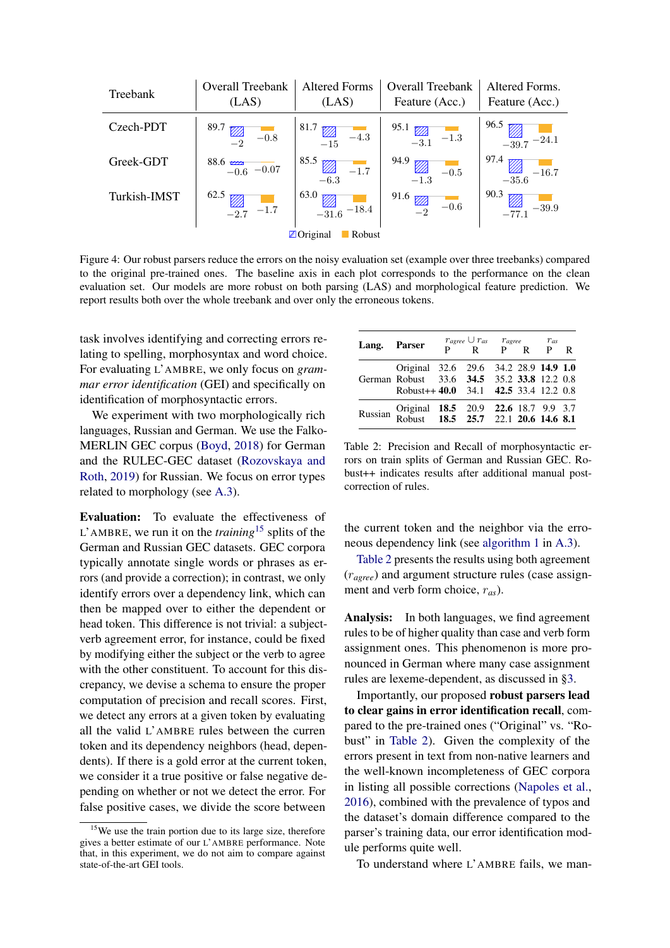<span id="page-5-0"></span>

| Treebank            | Overall Treebank<br>(LAS)                                                                        | <b>Altered Forms</b><br>(LAS) | Overall Treebank<br>Feature (Acc.)           | Altered Forms.<br>Feature (Acc.)                                       |  |
|---------------------|--------------------------------------------------------------------------------------------------|-------------------------------|----------------------------------------------|------------------------------------------------------------------------|--|
| Czech-PDT           | 89.7<br>$\mathbb{Z}_2$<br>$-0.8$                                                                 | 81.7<br>$-4.3$<br>$-15$       | 95.1<br>$\boxed{\boxtimes 2}$ -3.1<br>$-1.3$ | 96.5<br>$\frac{V}{4}$<br>$-24.1$                                       |  |
| Greek-GDT           | $88.6 \frac{1}{-0.6} - 0.07$                                                                     | 85.5<br>$-1.7$<br>$-6.3$      | 94.9<br>$-0.5$<br>$-1.3$                     | 97.4<br>$-16.7$<br>$\begin{array}{c}\n\sqrt{24} \\ -35.6\n\end{array}$ |  |
| Turkish-IMST        | 62.5<br>$\begin{array}{c}\n\swarrow\n\end{array}\n\begin{array}{c}\n-1.7 \\ \hline\n\end{array}$ | 63.0<br>$-18.4$<br>$-31.6$    | 91.6<br>$\mathbb{Z}_2$<br>$-0.6$             | 90.3<br>$-39.9$<br>$-77.1$                                             |  |
| ⊠Original<br>Robust |                                                                                                  |                               |                                              |                                                                        |  |

Figure 4: Our robust parsers reduce the errors on the noisy evaluation set (example over three treebanks) compared to the original pre-trained ones. The baseline axis in each plot corresponds to the performance on the clean evaluation set. Our models are more robust on both parsing (LAS) and morphological feature prediction. We report results both over the whole treebank and over only the erroneous tokens.

task involves identifying and correcting errors relating to spelling, morphosyntax and word choice. For evaluating L'AMBRE, we only focus on *grammar error identification* (GEI) and specifically on identification of morphosyntactic errors.

We experiment with two morphologically rich languages, Russian and German. We use the Falko-MERLIN GEC corpus [\(Boyd,](#page-9-13) [2018\)](#page-9-13) for German and the RULEC-GEC dataset [\(Rozovskaya and](#page-11-9) [Roth,](#page-11-9) [2019\)](#page-11-9) for Russian. We focus on error types related to morphology (see [A.3\)](#page-12-2).

Evaluation: To evaluate the effectiveness of <sup>L</sup>'AMBRE, we run it on the *training*[15](#page-5-1) splits of the German and Russian GEC datasets. GEC corpora typically annotate single words or phrases as errors (and provide a correction); in contrast, we only identify errors over a dependency link, which can then be mapped over to either the dependent or head token. This difference is not trivial: a subjectverb agreement error, for instance, could be fixed by modifying either the subject or the verb to agree with the other constituent. To account for this discrepancy, we devise a schema to ensure the proper computation of precision and recall scores. First, we detect any errors at a given token by evaluating all the valid L'AMBRE rules between the curren token and its dependency neighbors (head, dependents). If there is a gold error at the current token, we consider it a true positive or false negative depending on whether or not we detect the error. For false positive cases, we divide the score between

<span id="page-5-2"></span>

| Lang. Parser |                                                                                                                              | $r_{agree} \cup r_{as}$ $r_{agree}$ $r_{as}$<br>P R P R P R |  |  |
|--------------|------------------------------------------------------------------------------------------------------------------------------|-------------------------------------------------------------|--|--|
|              | Original 32.6 29.6 34.2 28.9 14.9 1.0<br>German Robust 33.6 34.5 35.2 33.8 12.2 0.8<br>Robust++ 40.0 34.1 42.5 33.4 12.2 0.8 |                                                             |  |  |
|              | Russian Original 18.5 20.9 22.6 18.7 9.9 3.7<br>Russian Robust 18.5 25.7 22.1 20.6 14.6 8.1                                  |                                                             |  |  |

Table 2: Precision and Recall of morphosyntactic errors on train splits of German and Russian GEC. Robust++ indicates results after additional manual postcorrection of rules.

the current token and the neighbor via the erroneous dependency link (see [algorithm 1](#page-12-3) in [A.3\)](#page-12-2).

[Table 2](#page-5-2) presents the results using both agreement (r*agree*) and argument structure rules (case assignment and verb form choice, r*as*).

Analysis: In both languages, we find agreement rules to be of higher quality than case and verb form assignment ones. This phenomenon is more pronounced in German where many case assignment rules are lexeme-dependent, as discussed in [§3.](#page-2-0)

Importantly, our proposed robust parsers lead to clear gains in error identification recall, compared to the pre-trained ones ("Original" vs. "Robust" in [Table 2\)](#page-5-2). Given the complexity of the errors present in text from non-native learners and the well-known incompleteness of GEC corpora in listing all possible corrections [\(Napoles et al.,](#page-10-3) [2016\)](#page-10-3), combined with the prevalence of typos and the dataset's domain difference compared to the parser's training data, our error identification module performs quite well.

To understand where L'AMBRE fails, we man-

<span id="page-5-1"></span><sup>&</sup>lt;sup>15</sup>We use the train portion due to its large size, therefore gives a better estimate of our L'AMBRE performance. Note that, in this experiment, we do not aim to compare against state-of-the-art GEI tools.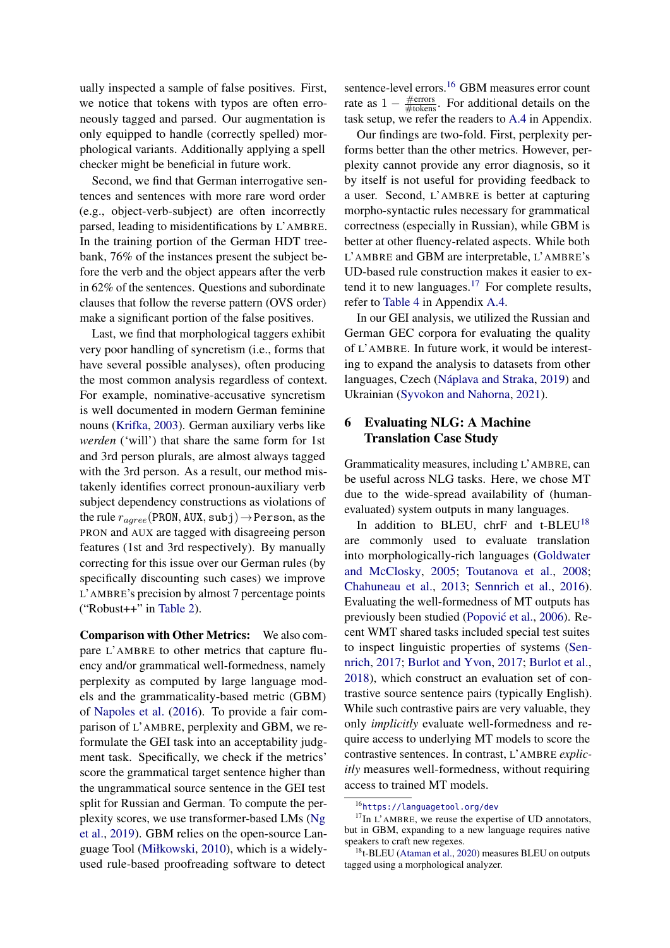ually inspected a sample of false positives. First, we notice that tokens with typos are often erroneously tagged and parsed. Our augmentation is only equipped to handle (correctly spelled) morphological variants. Additionally applying a spell checker might be beneficial in future work.

Second, we find that German interrogative sentences and sentences with more rare word order (e.g., object-verb-subject) are often incorrectly parsed, leading to misidentifications by L'AMBRE. In the training portion of the German HDT treebank, 76% of the instances present the subject before the verb and the object appears after the verb in 62% of the sentences. Questions and subordinate clauses that follow the reverse pattern (OVS order) make a significant portion of the false positives.

Last, we find that morphological taggers exhibit very poor handling of syncretism (i.e., forms that have several possible analyses), often producing the most common analysis regardless of context. For example, nominative-accusative syncretism is well documented in modern German feminine nouns [\(Krifka,](#page-9-14) [2003\)](#page-9-14). German auxiliary verbs like *werden* ('will') that share the same form for 1st and 3rd person plurals, are almost always tagged with the 3rd person. As a result, our method mistakenly identifies correct pronoun-auxiliary verb subject dependency constructions as violations of the rule  $r_{agree}$ (PRON, AUX, subj)  $\rightarrow$  Person, as the PRON and AUX are tagged with disagreeing person features (1st and 3rd respectively). By manually correcting for this issue over our German rules (by specifically discounting such cases) we improve L'AMBRE's precision by almost 7 percentage points ("Robust++" in [Table 2\)](#page-5-2).

Comparison with Other Metrics: We also compare L'AMBRE to other metrics that capture fluency and/or grammatical well-formedness, namely perplexity as computed by large language models and the grammaticality-based metric (GBM) of [Napoles et al.](#page-10-3) [\(2016\)](#page-10-3). To provide a fair comparison of L'AMBRE, perplexity and GBM, we reformulate the GEI task into an acceptability judgment task. Specifically, we check if the metrics' score the grammatical target sentence higher than the ungrammatical source sentence in the GEI test split for Russian and German. To compute the perplexity scores, we use transformer-based LMs [\(Ng](#page-10-10) [et al.,](#page-10-10) [2019\)](#page-10-10). GBM relies on the open-source Language Tool [\(Miłkowski,](#page-10-11) [2010\)](#page-10-11), which is a widelyused rule-based proofreading software to detect sentence-level errors.[16](#page-6-1) GBM measures error count rate as  $1 - \frac{\text{\#errors}}{\text{\# tokens}}$ . For additional details on the task setup, we refer the readers to [A.4](#page-12-4) in Appendix.

Our findings are two-fold. First, perplexity performs better than the other metrics. However, perplexity cannot provide any error diagnosis, so it by itself is not useful for providing feedback to a user. Second, L'AMBRE is better at capturing morpho-syntactic rules necessary for grammatical correctness (especially in Russian), while GBM is better at other fluency-related aspects. While both L'AMBRE and GBM are interpretable, L'AMBRE's UD-based rule construction makes it easier to ex-tend it to new languages.<sup>[17](#page-6-2)</sup> For complete results, refer to [Table 4](#page-13-0) in Appendix [A.4.](#page-12-4)

In our GEI analysis, we utilized the Russian and German GEC corpora for evaluating the quality of L'AMBRE. In future work, it would be interesting to expand the analysis to datasets from other languages, Czech [\(Náplava and Straka,](#page-10-12) [2019\)](#page-10-12) and Ukrainian [\(Syvokon and Nahorna,](#page-11-10) [2021\)](#page-11-10).

# <span id="page-6-0"></span>6 Evaluating NLG: A Machine Translation Case Study

Grammaticality measures, including L'AMBRE, can be useful across NLG tasks. Here, we chose MT due to the wide-spread availability of (humanevaluated) system outputs in many languages.

In addition to BLEU, chrF and t-BLEU<sup>[18](#page-6-3)</sup> are commonly used to evaluate translation into morphologically-rich languages [\(Goldwater](#page-9-15) [and McClosky,](#page-9-15) [2005;](#page-9-15) [Toutanova et al.,](#page-11-11) [2008;](#page-11-11) [Chahuneau et al.,](#page-9-16) [2013;](#page-9-16) [Sennrich et al.,](#page-11-12) [2016\)](#page-11-12). Evaluating the well-formedness of MT outputs has previously been studied (Popović et al., [2006\)](#page-10-13). Recent WMT shared tasks included special test suites to inspect linguistic properties of systems [\(Sen](#page-11-3)[nrich,](#page-11-3) [2017;](#page-11-3) [Burlot and Yvon,](#page-9-3) [2017;](#page-9-3) [Burlot et al.,](#page-9-4) [2018\)](#page-9-4), which construct an evaluation set of contrastive source sentence pairs (typically English). While such contrastive pairs are very valuable, they only *implicitly* evaluate well-formedness and require access to underlying MT models to score the contrastive sentences. In contrast, L'AMBRE *explicitly* measures well-formedness, without requiring access to trained MT models.

<span id="page-6-2"></span><span id="page-6-1"></span><sup>16</sup><https://languagetool.org/dev>

 $17$ In L'AMBRE, we reuse the expertise of UD annotators, but in GBM, expanding to a new language requires native speakers to craft new regexes.

<span id="page-6-3"></span> $18t$ -BLEU [\(Ataman et al.,](#page-8-2) [2020\)](#page-8-2) measures BLEU on outputs tagged using a morphological analyzer.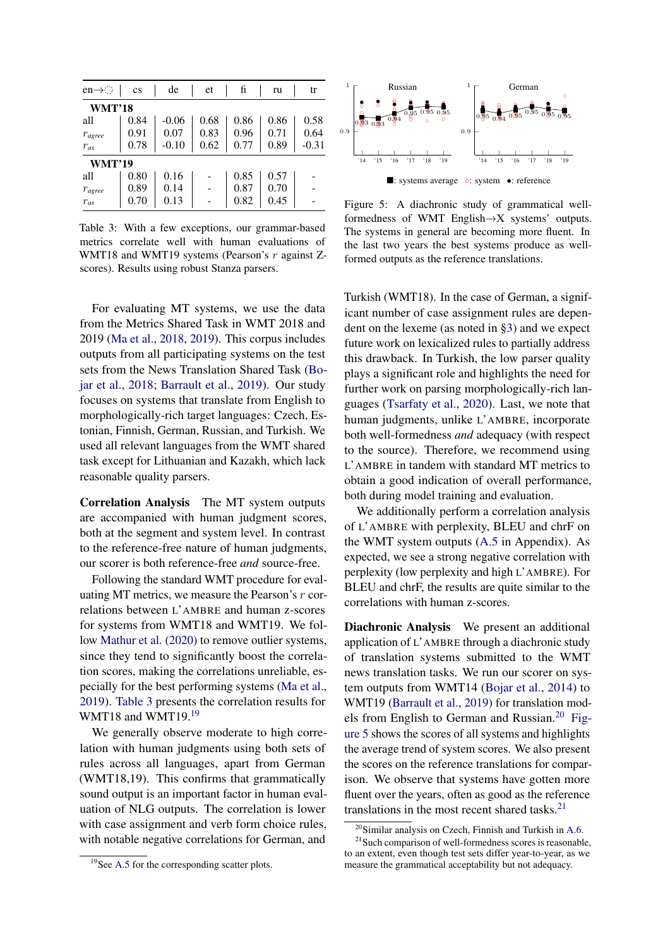<span id="page-7-0"></span>

| $en \rightarrow$      | $\mathbf{c}\mathbf{s}$ | de      | et   | fi   | ru   | tr      |
|-----------------------|------------------------|---------|------|------|------|---------|
| <b>WMT'18</b>         |                        |         |      |      |      |         |
| all                   | 0.84                   | $-0.06$ | 0.68 | 0.86 | 0.86 | 0.58    |
| $\mathcal{T}_{agree}$ | 0.91                   | 0.07    | 0.83 | 0.96 | 0.71 | 0.64    |
| $r_{as}$              | 0.78                   | $-0.10$ | 0.62 | 0.77 | 0.89 | $-0.31$ |
| <b>WMT'19</b>         |                        |         |      |      |      |         |
| all                   | 0.80                   | 0.16    |      | 0.85 | 0.57 |         |
| $r_{agree}$           | 0.89                   | 0.14    |      | 0.87 | 0.70 |         |
| $r_{as}$              | 0.70                   | 0.13    |      | 0.82 | 0.45 |         |

Table 3: With a few exceptions, our grammar-based metrics correlate well with human evaluations of WMT18 and WMT19 systems (Pearson's r against Zscores). Results using robust Stanza parsers.

For evaluating MT systems, we use the data from the Metrics Shared Task in WMT 2018 and 2019 [\(Ma et al.,](#page-10-14) [2018,](#page-10-14) [2019\)](#page-10-15). This corpus includes outputs from all participating systems on the test sets from the News Translation Shared Task [\(Bo](#page-9-17)[jar et al.,](#page-9-17) [2018;](#page-9-17) [Barrault et al.,](#page-8-3) [2019\)](#page-8-3). Our study focuses on systems that translate from English to morphologically-rich target languages: Czech, Estonian, Finnish, German, Russian, and Turkish. We used all relevant languages from the WMT shared task except for Lithuanian and Kazakh, which lack reasonable quality parsers.

Correlation Analysis The MT system outputs are accompanied with human judgment scores, both at the segment and system level. In contrast to the reference-free nature of human judgments, our scorer is both reference-free *and* source-free.

Following the standard WMT procedure for evaluating MT metrics, we measure the Pearson's r correlations between L'AMBRE and human z-scores for systems from WMT18 and WMT19. We follow [Mathur et al.](#page-10-16) [\(2020\)](#page-10-16) to remove outlier systems, since they tend to significantly boost the correlation scores, making the correlations unreliable, especially for the best performing systems [\(Ma et al.,](#page-10-15) [2019\)](#page-10-15). [Table 3](#page-7-0) presents the correlation results for WMT18 and WMT[19](#page-7-1).<sup>19</sup>

We generally observe moderate to high correlation with human judgments using both sets of rules across all languages, apart from German (WMT18,19). This confirms that grammatically sound output is an important factor in human evaluation of NLG outputs. The correlation is lower with case assignment and verb form choice rules. with notable negative correlations for German, and

<span id="page-7-1"></span>

<span id="page-7-3"></span>

Figure 5: A diachronic study of grammatical wellformedness of WMT English→X systems' outputs. The systems in general are becoming more fluent. In the last two years the best systems produce as wellformed outputs as the reference translations.

Turkish (WMT18). In the case of German, a significant number of case assignment rules are dependent on the lexeme (as noted in [§3\)](#page-2-0) and we expect future work on lexicalized rules to partially address this drawback. In Turkish, the low parser quality plays a significant role and highlights the need for further work on parsing morphologically-rich languages [\(Tsarfaty et al.,](#page-11-13) [2020\)](#page-11-13). Last, we note that human judgments, unlike L'AMBRE, incorporate both well-formedness *and* adequacy (with respect to the source). Therefore, we recommend using L'AMBRE in tandem with standard MT metrics to obtain a good indication of overall performance, both during model training and evaluation.

We additionally perform a correlation analysis of L'AMBRE with perplexity, BLEU and chrF on the WMT system outputs [\(A.5](#page-13-1) in Appendix). As expected, we see a strong negative correlation with perplexity (low perplexity and high L'AMBRE). For BLEU and chrF, the results are quite similar to the correlations with human z-scores.

Diachronic Analysis We present an additional application of L'AMBRE through a diachronic study of translation systems submitted to the WMT news translation tasks. We run our scorer on system outputs from WMT14 [\(Bojar et al.,](#page-8-4) [2014\)](#page-8-4) to WMT19 [\(Barrault et al.,](#page-8-3) [2019\)](#page-8-3) for translation models from English to German and Russian.[20](#page-7-2) [Fig](#page-7-3)[ure 5](#page-7-3) shows the scores of all systems and highlights the average trend of system scores. We also present the scores on the reference translations for comparison. We observe that systems have gotten more fluent over the years, often as good as the reference translations in the most recent shared tasks. $2<sup>1</sup>$ 

<span id="page-7-4"></span><span id="page-7-2"></span><sup>20</sup>Similar analysis on Czech, Finnish and Turkish in [A.6.](#page-14-0)

<sup>&</sup>lt;sup>21</sup> Such comparison of well-formedness scores is reasonable, to an extent, even though test sets differ year-to-year, as we measure the grammatical acceptability but not adequacy.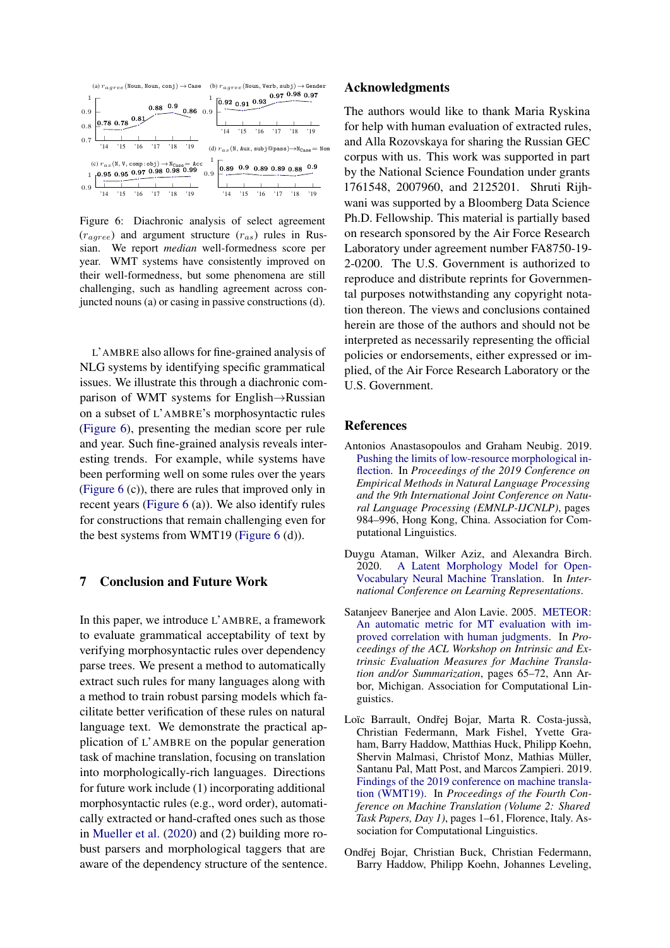<span id="page-8-5"></span>

Figure 6: Diachronic analysis of select agreement  $(r_{agree})$  and argument structure  $(r_{as})$  rules in Russian. We report *median* well-formedness score per year. WMT systems have consistently improved on their well-formedness, but some phenomena are still challenging, such as handling agreement across conjuncted nouns (a) or casing in passive constructions (d).

L'AMBRE also allows for fine-grained analysis of NLG systems by identifying specific grammatical issues. We illustrate this through a diachronic comparison of WMT systems for English→Russian on a subset of L'AMBRE's morphosyntactic rules [\(Figure 6\)](#page-8-5), presenting the median score per rule and year. Such fine-grained analysis reveals interesting trends. For example, while systems have been performing well on some rules over the years [\(Figure 6](#page-8-5) (c)), there are rules that improved only in recent years [\(Figure 6](#page-8-5) (a)). We also identify rules for constructions that remain challenging even for the best systems from WMT19 [\(Figure 6](#page-8-5) (d)).

## 7 Conclusion and Future Work

In this paper, we introduce L'AMBRE, a framework to evaluate grammatical acceptability of text by verifying morphosyntactic rules over dependency parse trees. We present a method to automatically extract such rules for many languages along with a method to train robust parsing models which facilitate better verification of these rules on natural language text. We demonstrate the practical application of L'AMBRE on the popular generation task of machine translation, focusing on translation into morphologically-rich languages. Directions for future work include (1) incorporating additional morphosyntactic rules (e.g., word order), automatically extracted or hand-crafted ones such as those in [Mueller et al.](#page-10-5) [\(2020\)](#page-10-5) and (2) building more robust parsers and morphological taggers that are aware of the dependency structure of the sentence.

### Acknowledgments

The authors would like to thank Maria Ryskina for help with human evaluation of extracted rules, and Alla Rozovskaya for sharing the Russian GEC corpus with us. This work was supported in part by the National Science Foundation under grants 1761548, 2007960, and 2125201. Shruti Rijhwani was supported by a Bloomberg Data Science Ph.D. Fellowship. This material is partially based on research sponsored by the Air Force Research Laboratory under agreement number FA8750-19- 2-0200. The U.S. Government is authorized to reproduce and distribute reprints for Governmental purposes notwithstanding any copyright notation thereon. The views and conclusions contained herein are those of the authors and should not be interpreted as necessarily representing the official policies or endorsements, either expressed or implied, of the Air Force Research Laboratory or the U.S. Government.

### References

- <span id="page-8-1"></span>Antonios Anastasopoulos and Graham Neubig. 2019. [Pushing the limits of low-resource morphological in](https://doi.org/10.18653/v1/D19-1091)[flection.](https://doi.org/10.18653/v1/D19-1091) In *Proceedings of the 2019 Conference on Empirical Methods in Natural Language Processing and the 9th International Joint Conference on Natural Language Processing (EMNLP-IJCNLP)*, pages 984–996, Hong Kong, China. Association for Computational Linguistics.
- <span id="page-8-2"></span>Duygu Ataman, Wilker Aziz, and Alexandra Birch. 2020. [A Latent Morphology Model for Open-](https://openreview.net/forum?id=BJxSI1SKDH)[Vocabulary Neural Machine Translation.](https://openreview.net/forum?id=BJxSI1SKDH) In *International Conference on Learning Representations*.
- <span id="page-8-0"></span>Satanjeev Banerjee and Alon Lavie. 2005. [METEOR:](https://www.aclweb.org/anthology/W05-0909) [An automatic metric for MT evaluation with im](https://www.aclweb.org/anthology/W05-0909)[proved correlation with human judgments.](https://www.aclweb.org/anthology/W05-0909) In *Proceedings of the ACL Workshop on Intrinsic and Extrinsic Evaluation Measures for Machine Translation and/or Summarization*, pages 65–72, Ann Arbor, Michigan. Association for Computational Linguistics.
- <span id="page-8-3"></span>Loïc Barrault, Ondřej Bojar, Marta R. Costa-jussà, Christian Federmann, Mark Fishel, Yvette Graham, Barry Haddow, Matthias Huck, Philipp Koehn, Shervin Malmasi, Christof Monz, Mathias Müller, Santanu Pal, Matt Post, and Marcos Zampieri. 2019. [Findings of the 2019 conference on machine transla](https://doi.org/10.18653/v1/W19-5301)[tion \(WMT19\).](https://doi.org/10.18653/v1/W19-5301) In *Proceedings of the Fourth Conference on Machine Translation (Volume 2: Shared Task Papers, Day 1)*, pages 1–61, Florence, Italy. Association for Computational Linguistics.
- <span id="page-8-4"></span>Ondřej Bojar, Christian Buck, Christian Federmann, Barry Haddow, Philipp Koehn, Johannes Leveling,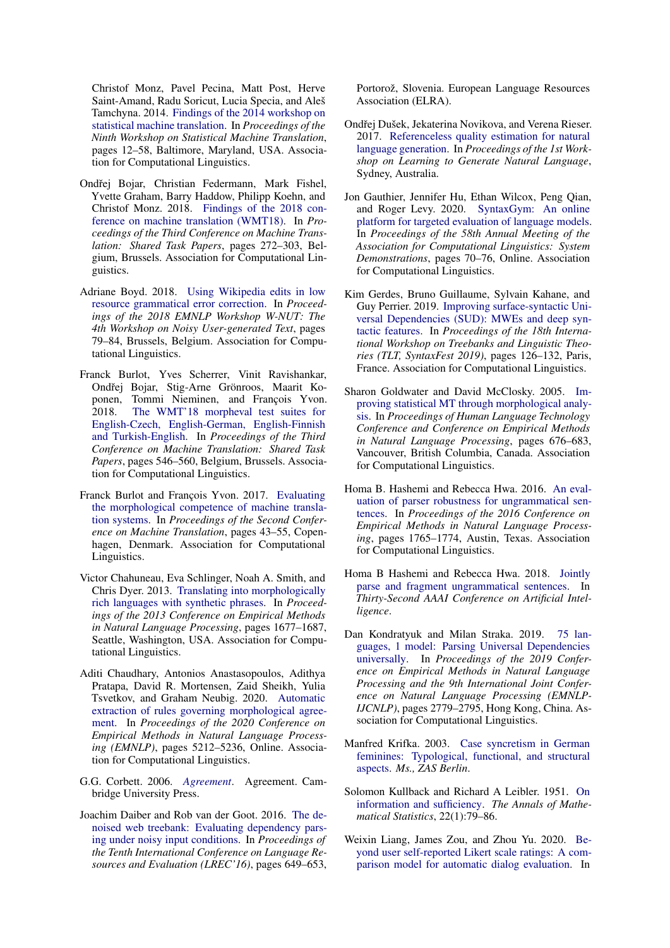Christof Monz, Pavel Pecina, Matt Post, Herve Saint-Amand, Radu Soricut, Lucia Specia, and Aleš Tamchyna. 2014. [Findings of the 2014 workshop on](https://doi.org/10.3115/v1/W14-3302) [statistical machine translation.](https://doi.org/10.3115/v1/W14-3302) In *Proceedings of the Ninth Workshop on Statistical Machine Translation*, pages 12–58, Baltimore, Maryland, USA. Association for Computational Linguistics.

- <span id="page-9-17"></span>Ondřej Bojar, Christian Federmann, Mark Fishel, Yvette Graham, Barry Haddow, Philipp Koehn, and Christof Monz. 2018. [Findings of the 2018 con](https://doi.org/10.18653/v1/W18-6401)[ference on machine translation \(WMT18\).](https://doi.org/10.18653/v1/W18-6401) In *Proceedings of the Third Conference on Machine Translation: Shared Task Papers*, pages 272–303, Belgium, Brussels. Association for Computational Linguistics.
- <span id="page-9-13"></span>Adriane Boyd. 2018. [Using Wikipedia edits in low](https://doi.org/10.18653/v1/W18-6111) [resource grammatical error correction.](https://doi.org/10.18653/v1/W18-6111) In *Proceedings of the 2018 EMNLP Workshop W-NUT: The 4th Workshop on Noisy User-generated Text*, pages 79–84, Brussels, Belgium. Association for Computational Linguistics.
- <span id="page-9-4"></span>Franck Burlot, Yves Scherrer, Vinit Ravishankar, Ondřej Bojar, Stig-Arne Grönroos, Maarit Koponen, Tommi Nieminen, and François Yvon.<br>2018. The WMT'18 morpheval test suites for [The WMT'18 morpheval test suites for](https://doi.org/10.18653/v1/W18-6433) [English-Czech, English-German, English-Finnish](https://doi.org/10.18653/v1/W18-6433) [and Turkish-English.](https://doi.org/10.18653/v1/W18-6433) In *Proceedings of the Third Conference on Machine Translation: Shared Task Papers*, pages 546–560, Belgium, Brussels. Association for Computational Linguistics.
- <span id="page-9-3"></span>Franck Burlot and François Yvon. 2017. [Evaluating](https://doi.org/10.18653/v1/W17-4705) [the morphological competence of machine transla](https://doi.org/10.18653/v1/W17-4705)[tion systems.](https://doi.org/10.18653/v1/W17-4705) In *Proceedings of the Second Conference on Machine Translation*, pages 43–55, Copenhagen, Denmark. Association for Computational Linguistics.
- <span id="page-9-16"></span>Victor Chahuneau, Eva Schlinger, Noah A. Smith, and Chris Dyer. 2013. [Translating into morphologically](https://www.aclweb.org/anthology/D13-1174) [rich languages with synthetic phrases.](https://www.aclweb.org/anthology/D13-1174) In *Proceedings of the 2013 Conference on Empirical Methods in Natural Language Processing*, pages 1677–1687, Seattle, Washington, USA. Association for Computational Linguistics.
- <span id="page-9-5"></span>Aditi Chaudhary, Antonios Anastasopoulos, Adithya Pratapa, David R. Mortensen, Zaid Sheikh, Yulia Tsvetkov, and Graham Neubig. 2020. [Automatic](https://doi.org/10.18653/v1/2020.emnlp-main.422) [extraction of rules governing morphological agree](https://doi.org/10.18653/v1/2020.emnlp-main.422)[ment.](https://doi.org/10.18653/v1/2020.emnlp-main.422) In *Proceedings of the 2020 Conference on Empirical Methods in Natural Language Processing (EMNLP)*, pages 5212–5236, Online. Association for Computational Linguistics.
- <span id="page-9-7"></span>G.G. Corbett. 2006. *[Agreement](https://books.google.com/books?id=LYR4UpQ_lhUC)*. Agreement. Cambridge University Press.
- <span id="page-9-10"></span>Joachim Daiber and Rob van der Goot. 2016. [The de](https://www.aclweb.org/anthology/L16-1102)[noised web treebank: Evaluating dependency pars](https://www.aclweb.org/anthology/L16-1102)[ing under noisy input conditions.](https://www.aclweb.org/anthology/L16-1102) In *Proceedings of the Tenth International Conference on Language Resources and Evaluation (LREC'16)*, pages 649–653,

Portorož, Slovenia. European Language Resources Association (ELRA).

- <span id="page-9-1"></span>Ondřej Dušek, Jekaterina Novikova, and Verena Rieser. 2017. [Referenceless quality estimation for natural](https://arxiv.org/abs/1708.01759) [language generation.](https://arxiv.org/abs/1708.01759) In *Proceedings of the 1st Workshop on Learning to Generate Natural Language*, Sydney, Australia.
- <span id="page-9-2"></span>Jon Gauthier, Jennifer Hu, Ethan Wilcox, Peng Qian, and Roger Levy. 2020. [SyntaxGym: An online](https://doi.org/10.18653/v1/2020.acl-demos.10) [platform for targeted evaluation of language models.](https://doi.org/10.18653/v1/2020.acl-demos.10) In *Proceedings of the 58th Annual Meeting of the Association for Computational Linguistics: System Demonstrations*, pages 70–76, Online. Association for Computational Linguistics.
- <span id="page-9-8"></span>Kim Gerdes, Bruno Guillaume, Sylvain Kahane, and Guy Perrier. 2019. [Improving surface-syntactic Uni](https://doi.org/10.18653/v1/W19-7814)[versal Dependencies \(SUD\): MWEs and deep syn](https://doi.org/10.18653/v1/W19-7814)[tactic features.](https://doi.org/10.18653/v1/W19-7814) In *Proceedings of the 18th International Workshop on Treebanks and Linguistic Theories (TLT, SyntaxFest 2019)*, pages 126–132, Paris, France. Association for Computational Linguistics.
- <span id="page-9-15"></span>Sharon Goldwater and David McClosky. 2005. [Im](https://www.aclweb.org/anthology/H05-1085)[proving statistical MT through morphological analy](https://www.aclweb.org/anthology/H05-1085)[sis.](https://www.aclweb.org/anthology/H05-1085) In *Proceedings of Human Language Technology Conference and Conference on Empirical Methods in Natural Language Processing*, pages 676–683, Vancouver, British Columbia, Canada. Association for Computational Linguistics.
- <span id="page-9-6"></span>Homa B. Hashemi and Rebecca Hwa. 2016. [An eval](https://doi.org/10.18653/v1/D16-1182)[uation of parser robustness for ungrammatical sen](https://doi.org/10.18653/v1/D16-1182)[tences.](https://doi.org/10.18653/v1/D16-1182) In *Proceedings of the 2016 Conference on Empirical Methods in Natural Language Processing*, pages 1765–1774, Austin, Texas. Association for Computational Linguistics.
- <span id="page-9-11"></span>Homa B Hashemi and Rebecca Hwa. 2018. [Jointly](https://www.aaai.org/ocs/index.php/AAAI/AAAI18/paper/viewFile/17038/16064) [parse and fragment ungrammatical sentences.](https://www.aaai.org/ocs/index.php/AAAI/AAAI18/paper/viewFile/17038/16064) In *Thirty-Second AAAI Conference on Artificial Intelligence*.
- <span id="page-9-12"></span>Dan Kondratyuk and Milan Straka. 2019. [75 lan](https://doi.org/10.18653/v1/D19-1279)[guages, 1 model: Parsing Universal Dependencies](https://doi.org/10.18653/v1/D19-1279) [universally.](https://doi.org/10.18653/v1/D19-1279) In *Proceedings of the 2019 Conference on Empirical Methods in Natural Language Processing and the 9th International Joint Conference on Natural Language Processing (EMNLP-IJCNLP)*, pages 2779–2795, Hong Kong, China. Association for Computational Linguistics.
- <span id="page-9-14"></span>Manfred Krifka. 2003. [Case syncretism in German](https://doi.org/10.1515/9783110198973.141) [feminines: Typological, functional, and structural](https://doi.org/10.1515/9783110198973.141) [aspects.](https://doi.org/10.1515/9783110198973.141) *Ms., ZAS Berlin*.
- <span id="page-9-9"></span>Solomon Kullback and Richard A Leibler. 1951. [On](http://www.jstor.org/stable/2236703) [information and sufficiency.](http://www.jstor.org/stable/2236703) *The Annals of Mathematical Statistics*, 22(1):79–86.
- <span id="page-9-0"></span>Weixin Liang, James Zou, and Zhou Yu. 2020. [Be](https://doi.org/10.18653/v1/2020.acl-main.126)[yond user self-reported Likert scale ratings: A com](https://doi.org/10.18653/v1/2020.acl-main.126)[parison model for automatic dialog evaluation.](https://doi.org/10.18653/v1/2020.acl-main.126) In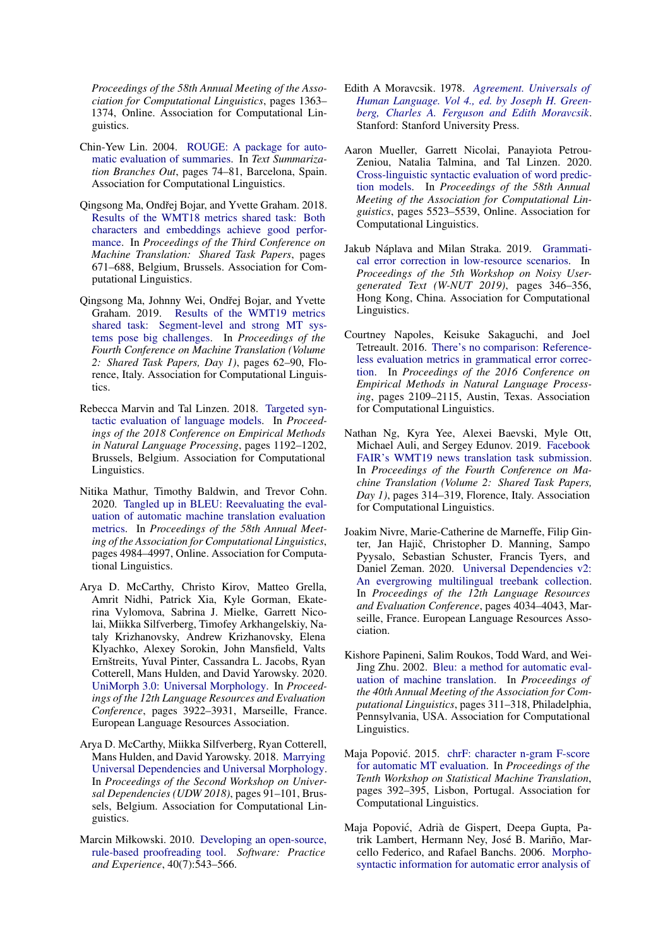*Proceedings of the 58th Annual Meeting of the Association for Computational Linguistics*, pages 1363– 1374, Online. Association for Computational Linguistics.

- <span id="page-10-2"></span>Chin-Yew Lin. 2004. [ROUGE: A package for auto](https://www.aclweb.org/anthology/W04-1013)[matic evaluation of summaries.](https://www.aclweb.org/anthology/W04-1013) In *Text Summarization Branches Out*, pages 74–81, Barcelona, Spain. Association for Computational Linguistics.
- <span id="page-10-14"></span>Qingsong Ma, Ondřej Bojar, and Yvette Graham. 2018. [Results of the WMT18 metrics shared task: Both](https://doi.org/10.18653/v1/W18-6450) [characters and embeddings achieve good perfor](https://doi.org/10.18653/v1/W18-6450)[mance.](https://doi.org/10.18653/v1/W18-6450) In *Proceedings of the Third Conference on Machine Translation: Shared Task Papers*, pages 671–688, Belgium, Brussels. Association for Computational Linguistics.
- <span id="page-10-15"></span>Qingsong Ma, Johnny Wei, Ondřej Bojar, and Yvette Graham. 2019. [Results of the WMT19 metrics](https://doi.org/10.18653/v1/W19-5302) [shared task: Segment-level and strong MT sys](https://doi.org/10.18653/v1/W19-5302)[tems pose big challenges.](https://doi.org/10.18653/v1/W19-5302) In *Proceedings of the Fourth Conference on Machine Translation (Volume 2: Shared Task Papers, Day 1)*, pages 62–90, Florence, Italy. Association for Computational Linguistics.
- <span id="page-10-4"></span>Rebecca Marvin and Tal Linzen. 2018. [Targeted syn](https://doi.org/10.18653/v1/D18-1151)[tactic evaluation of language models.](https://doi.org/10.18653/v1/D18-1151) In *Proceedings of the 2018 Conference on Empirical Methods in Natural Language Processing*, pages 1192–1202, Brussels, Belgium. Association for Computational Linguistics.
- <span id="page-10-16"></span>Nitika Mathur, Timothy Baldwin, and Trevor Cohn. 2020. [Tangled up in BLEU: Reevaluating the eval](https://doi.org/10.18653/v1/2020.acl-main.448)[uation of automatic machine translation evaluation](https://doi.org/10.18653/v1/2020.acl-main.448) [metrics.](https://doi.org/10.18653/v1/2020.acl-main.448) In *Proceedings of the 58th Annual Meeting of the Association for Computational Linguistics*, pages 4984–4997, Online. Association for Computational Linguistics.
- <span id="page-10-8"></span>Arya D. McCarthy, Christo Kirov, Matteo Grella, Amrit Nidhi, Patrick Xia, Kyle Gorman, Ekaterina Vylomova, Sabrina J. Mielke, Garrett Nicolai, Miikka Silfverberg, Timofey Arkhangelskiy, Nataly Krizhanovsky, Andrew Krizhanovsky, Elena Klyachko, Alexey Sorokin, John Mansfield, Valts Ernštreits, Yuval Pinter, Cassandra L. Jacobs, Ryan Cotterell, Mans Hulden, and David Yarowsky. 2020. [UniMorph 3.0: Universal Morphology.](https://www.aclweb.org/anthology/2020.lrec-1.483) In *Proceedings of the 12th Language Resources and Evaluation Conference*, pages 3922–3931, Marseille, France. European Language Resources Association.
- <span id="page-10-9"></span>Arya D. McCarthy, Miikka Silfverberg, Ryan Cotterell, Mans Hulden, and David Yarowsky. 2018. [Marrying](https://doi.org/10.18653/v1/W18-6011) [Universal Dependencies and Universal Morphology.](https://doi.org/10.18653/v1/W18-6011) In *Proceedings of the Second Workshop on Universal Dependencies (UDW 2018)*, pages 91–101, Brussels, Belgium. Association for Computational Linguistics.
- <span id="page-10-11"></span>Marcin Miłkowski. 2010. [Developing an open-source,](https://doi.org/10.1002/spe.971) [rule-based proofreading tool.](https://doi.org/10.1002/spe.971) *Software: Practice and Experience*, 40(7):543–566.
- <span id="page-10-7"></span>Edith A Moravcsik. 1978. *[Agreement. Universals of](https://books.google.com/books?id=5iysAAAAIAAJ) [Human Language. Vol 4., ed. by Joseph H. Green](https://books.google.com/books?id=5iysAAAAIAAJ)[berg, Charles A. Ferguson and Edith Moravcsik](https://books.google.com/books?id=5iysAAAAIAAJ)*. Stanford: Stanford University Press.
- <span id="page-10-5"></span>Aaron Mueller, Garrett Nicolai, Panayiota Petrou-Zeniou, Natalia Talmina, and Tal Linzen. 2020. [Cross-linguistic syntactic evaluation of word predic](https://doi.org/10.18653/v1/2020.acl-main.490)[tion models.](https://doi.org/10.18653/v1/2020.acl-main.490) In *Proceedings of the 58th Annual Meeting of the Association for Computational Linguistics*, pages 5523–5539, Online. Association for Computational Linguistics.
- <span id="page-10-12"></span>Jakub Náplava and Milan Straka. 2019. [Grammati](https://doi.org/10.18653/v1/D19-5545)[cal error correction in low-resource scenarios.](https://doi.org/10.18653/v1/D19-5545) In *Proceedings of the 5th Workshop on Noisy Usergenerated Text (W-NUT 2019)*, pages 346–356, Hong Kong, China. Association for Computational Linguistics.
- <span id="page-10-3"></span>Courtney Napoles, Keisuke Sakaguchi, and Joel Tetreault. 2016. [There's no comparison: Reference](https://doi.org/10.18653/v1/D16-1228)[less evaluation metrics in grammatical error correc](https://doi.org/10.18653/v1/D16-1228)[tion.](https://doi.org/10.18653/v1/D16-1228) In *Proceedings of the 2016 Conference on Empirical Methods in Natural Language Processing*, pages 2109–2115, Austin, Texas. Association for Computational Linguistics.
- <span id="page-10-10"></span>Nathan Ng, Kyra Yee, Alexei Baevski, Myle Ott, Michael Auli, and Sergey Edunov. 2019. [Facebook](https://doi.org/10.18653/v1/W19-5333) [FAIR's WMT19 news translation task submission.](https://doi.org/10.18653/v1/W19-5333) In *Proceedings of the Fourth Conference on Machine Translation (Volume 2: Shared Task Papers, Day 1)*, pages 314–319, Florence, Italy. Association for Computational Linguistics.
- <span id="page-10-6"></span>Joakim Nivre, Marie-Catherine de Marneffe, Filip Ginter, Jan Hajič, Christopher D. Manning, Sampo Pyysalo, Sebastian Schuster, Francis Tyers, and Daniel Zeman. 2020. [Universal Dependencies v2:](https://www.aclweb.org/anthology/2020.lrec-1.497) [An evergrowing multilingual treebank collection.](https://www.aclweb.org/anthology/2020.lrec-1.497) In *Proceedings of the 12th Language Resources and Evaluation Conference*, pages 4034–4043, Marseille, France. European Language Resources Association.
- <span id="page-10-0"></span>Kishore Papineni, Salim Roukos, Todd Ward, and Wei-Jing Zhu. 2002. [Bleu: a method for automatic eval](https://doi.org/10.3115/1073083.1073135)[uation of machine translation.](https://doi.org/10.3115/1073083.1073135) In *Proceedings of the 40th Annual Meeting of the Association for Computational Linguistics*, pages 311–318, Philadelphia, Pennsylvania, USA. Association for Computational Linguistics.
- <span id="page-10-1"></span>Maja Popović. 2015. [chrF: character n-gram F-score](https://doi.org/10.18653/v1/W15-3049) [for automatic MT evaluation.](https://doi.org/10.18653/v1/W15-3049) In *Proceedings of the Tenth Workshop on Statistical Machine Translation*, pages 392–395, Lisbon, Portugal. Association for Computational Linguistics.
- <span id="page-10-13"></span>Maja Popovic, Adrià de Gispert, Deepa Gupta, Pa- ´ trik Lambert, Hermann Ney, José B. Mariño, Marcello Federico, and Rafael Banchs. 2006. [Morpho](https://www.aclweb.org/anthology/W06-3101)[syntactic information for automatic error analysis of](https://www.aclweb.org/anthology/W06-3101)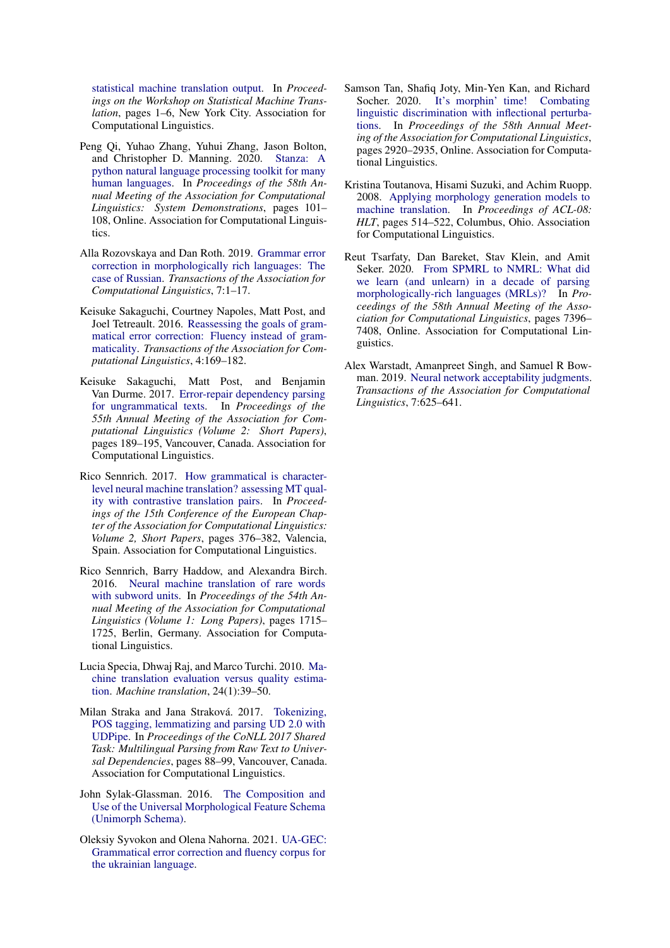[statistical machine translation output.](https://www.aclweb.org/anthology/W06-3101) In *Proceedings on the Workshop on Statistical Machine Translation*, pages 1–6, New York City. Association for Computational Linguistics.

- <span id="page-11-6"></span>Peng Qi, Yuhao Zhang, Yuhui Zhang, Jason Bolton, and Christopher D. Manning. 2020. [Stanza: A](https://doi.org/10.18653/v1/2020.acl-demos.14) [python natural language processing toolkit for many](https://doi.org/10.18653/v1/2020.acl-demos.14) [human languages.](https://doi.org/10.18653/v1/2020.acl-demos.14) In *Proceedings of the 58th Annual Meeting of the Association for Computational Linguistics: System Demonstrations*, pages 101– 108, Online. Association for Computational Linguistics.
- <span id="page-11-9"></span>Alla Rozovskaya and Dan Roth. 2019. [Grammar error](https://doi.org/10.1162/tacl_a_00251) [correction in morphologically rich languages: The](https://doi.org/10.1162/tacl_a_00251) [case of Russian.](https://doi.org/10.1162/tacl_a_00251) *Transactions of the Association for Computational Linguistics*, 7:1–17.
- <span id="page-11-0"></span>Keisuke Sakaguchi, Courtney Napoles, Matt Post, and Joel Tetreault. 2016. [Reassessing the goals of gram](https://doi.org/10.1162/tacl_a_00091)[matical error correction: Fluency instead of gram](https://doi.org/10.1162/tacl_a_00091)[maticality.](https://doi.org/10.1162/tacl_a_00091) *Transactions of the Association for Computational Linguistics*, 4:169–182.
- <span id="page-11-4"></span>Keisuke Sakaguchi, Matt Post, and Benjamin Van Durme. 2017. [Error-repair dependency parsing](https://doi.org/10.18653/v1/P17-2030) [for ungrammatical texts.](https://doi.org/10.18653/v1/P17-2030) In *Proceedings of the 55th Annual Meeting of the Association for Computational Linguistics (Volume 2: Short Papers)*, pages 189–195, Vancouver, Canada. Association for Computational Linguistics.
- <span id="page-11-3"></span>Rico Sennrich. 2017. [How grammatical is character](https://www.aclweb.org/anthology/E17-2060)[level neural machine translation? assessing MT qual](https://www.aclweb.org/anthology/E17-2060)[ity with contrastive translation pairs.](https://www.aclweb.org/anthology/E17-2060) In *Proceedings of the 15th Conference of the European Chapter of the Association for Computational Linguistics: Volume 2, Short Papers*, pages 376–382, Valencia, Spain. Association for Computational Linguistics.
- <span id="page-11-12"></span>Rico Sennrich, Barry Haddow, and Alexandra Birch. 2016. [Neural machine translation of rare words](https://doi.org/10.18653/v1/P16-1162) [with subword units.](https://doi.org/10.18653/v1/P16-1162) In *Proceedings of the 54th Annual Meeting of the Association for Computational Linguistics (Volume 1: Long Papers)*, pages 1715– 1725, Berlin, Germany. Association for Computational Linguistics.
- <span id="page-11-1"></span>Lucia Specia, Dhwaj Raj, and Marco Turchi. 2010. [Ma](https://link.springer.com/article/10.1007/s10590-010-9077-2)[chine translation evaluation versus quality estima](https://link.springer.com/article/10.1007/s10590-010-9077-2)[tion.](https://link.springer.com/article/10.1007/s10590-010-9077-2) *Machine translation*, 24(1):39–50.
- <span id="page-11-8"></span>Milan Straka and Jana Straková. 2017. [Tokenizing,](https://doi.org/10.18653/v1/K17-3009) [POS tagging, lemmatizing and parsing UD 2.0 with](https://doi.org/10.18653/v1/K17-3009) [UDPipe.](https://doi.org/10.18653/v1/K17-3009) In *Proceedings of the CoNLL 2017 Shared Task: Multilingual Parsing from Raw Text to Universal Dependencies*, pages 88–99, Vancouver, Canada. Association for Computational Linguistics.
- <span id="page-11-5"></span>John Sylak-Glassman. 2016. [The Composition and](https://unimorph.github.io/doc/unimorph-schema.pdf) [Use of the Universal Morphological Feature Schema](https://unimorph.github.io/doc/unimorph-schema.pdf) [\(Unimorph Schema\).](https://unimorph.github.io/doc/unimorph-schema.pdf)
- <span id="page-11-10"></span>Oleksiy Syvokon and Olena Nahorna. 2021. [UA-GEC:](http://arxiv.org/abs/2103.16997) [Grammatical error correction and fluency corpus for](http://arxiv.org/abs/2103.16997) [the ukrainian language.](http://arxiv.org/abs/2103.16997)
- <span id="page-11-7"></span>Samson Tan, Shafiq Joty, Min-Yen Kan, and Richard Socher. 2020. [It's morphin' time! Combating](https://doi.org/10.18653/v1/2020.acl-main.263) [linguistic discrimination with inflectional perturba](https://doi.org/10.18653/v1/2020.acl-main.263)[tions.](https://doi.org/10.18653/v1/2020.acl-main.263) In *Proceedings of the 58th Annual Meeting of the Association for Computational Linguistics*, pages 2920–2935, Online. Association for Computational Linguistics.
- <span id="page-11-11"></span>Kristina Toutanova, Hisami Suzuki, and Achim Ruopp. 2008. [Applying morphology generation models to](https://www.aclweb.org/anthology/P08-1059) [machine translation.](https://www.aclweb.org/anthology/P08-1059) In *Proceedings of ACL-08: HLT*, pages 514–522, Columbus, Ohio. Association for Computational Linguistics.
- <span id="page-11-13"></span>Reut Tsarfaty, Dan Bareket, Stav Klein, and Amit Seker. 2020. [From SPMRL to NMRL: What did](https://doi.org/10.18653/v1/2020.acl-main.660) [we learn \(and unlearn\) in a decade of parsing](https://doi.org/10.18653/v1/2020.acl-main.660) [morphologically-rich languages \(MRLs\)?](https://doi.org/10.18653/v1/2020.acl-main.660) In *Proceedings of the 58th Annual Meeting of the Association for Computational Linguistics*, pages 7396– 7408, Online. Association for Computational Linguistics.
- <span id="page-11-2"></span>Alex Warstadt, Amanpreet Singh, and Samuel R Bowman. 2019. [Neural network acceptability judgments.](https://www.mitpressjournals.org/doi/pdf/10.1162/tacl_a_00290) *Transactions of the Association for Computational Linguistics*, 7:625–641.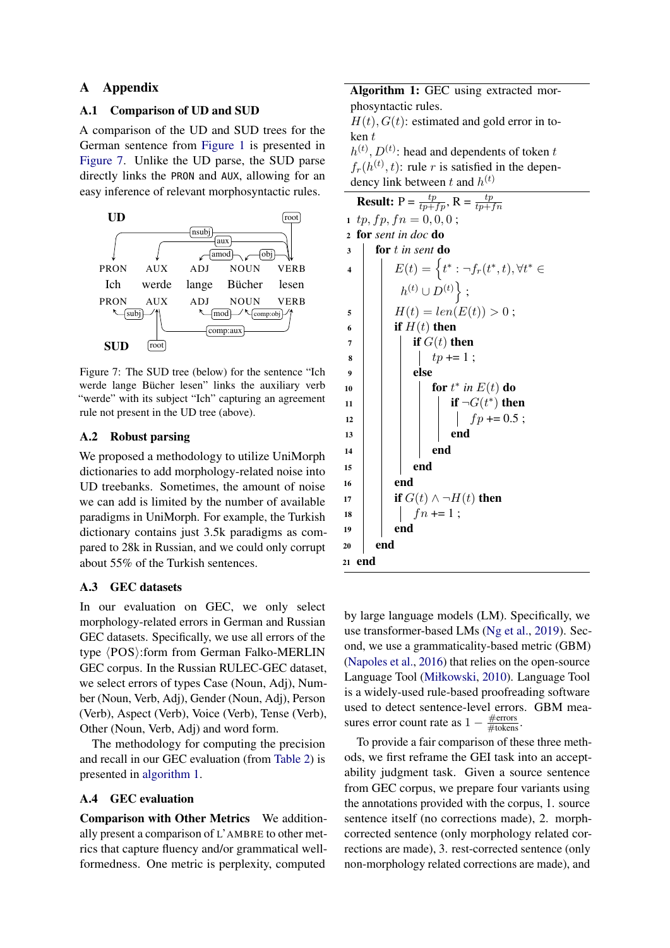## A Appendix

### <span id="page-12-0"></span>A.1 Comparison of UD and SUD

A comparison of the UD and SUD trees for the German sentence from [Figure 1](#page-0-3) is presented in [Figure 7.](#page-12-5) Unlike the UD parse, the SUD parse directly links the PRON and AUX, allowing for an easy inference of relevant morphosyntactic rules.

<span id="page-12-5"></span>

Figure 7: The SUD tree (below) for the sentence "Ich werde lange Bücher lesen" links the auxiliary verb "werde" with its subject "Ich" capturing an agreement rule not present in the UD tree (above).

## <span id="page-12-1"></span>A.2 Robust parsing

We proposed a methodology to utilize UniMorph dictionaries to add morphology-related noise into UD treebanks. Sometimes, the amount of noise we can add is limited by the number of available paradigms in UniMorph. For example, the Turkish dictionary contains just 3.5k paradigms as compared to 28k in Russian, and we could only corrupt about 55% of the Turkish sentences.

#### <span id="page-12-2"></span>A.3 GEC datasets

In our evaluation on GEC, we only select morphology-related errors in German and Russian GEC datasets. Specifically, we use all errors of the type  $\langle POS\rangle$ :form from German Falko-MERLIN GEC corpus. In the Russian RULEC-GEC dataset, we select errors of types Case (Noun, Adj), Number (Noun, Verb, Adj), Gender (Noun, Adj), Person (Verb), Aspect (Verb), Voice (Verb), Tense (Verb), Other (Noun, Verb, Adj) and word form.

The methodology for computing the precision and recall in our GEC evaluation (from [Table 2\)](#page-5-2) is presented in [algorithm 1.](#page-12-3)

#### <span id="page-12-4"></span>A.4 GEC evaluation

Comparison with Other Metrics We additionally present a comparison of L'AMBRE to other metrics that capture fluency and/or grammatical wellformedness. One metric is perplexity, computed

Algorithm 1: GEC using extracted morphosyntactic rules.

 $H(t)$ ,  $G(t)$ : estimated and gold error in token t

 $h^{(t)}$ ,  $D^{(t)}$ : head and dependents of token t  $f_r(h^{(t)}, t)$ : rule r is satisfied in the dependency link between t and  $h^{(t)}$ 

<span id="page-12-3"></span>

|                         | <b>Result:</b> $P = \frac{tp}{tp+fp}, R = \frac{tp}{tp+fn}$                  |  |  |  |
|-------------------------|------------------------------------------------------------------------------|--|--|--|
| $\mathbf{1}$            | $tp, fp, fn = 0, 0, 0;$                                                      |  |  |  |
| $\overline{2}$          | for sent in doc do                                                           |  |  |  |
| 3                       | for t in sent do                                                             |  |  |  |
| $\overline{\mathbf{4}}$ | $E(t) = \left\{ t^* : \neg f_r(t^*, t), \forall t^* \in \mathbb{R} \right\}$ |  |  |  |
|                         | $h^{(t)} \cup D^{(t)}$ ;                                                     |  |  |  |
| 5                       | $H(t) = len(E(t)) > 0;$                                                      |  |  |  |
| 6                       | if $H(t)$ then                                                               |  |  |  |
| 7                       | if $G(t)$ then                                                               |  |  |  |
| 8                       | $tp += 1$ ;                                                                  |  |  |  |
| 9                       | else                                                                         |  |  |  |
| 10                      | for $t^*$ in $E(t)$ do                                                       |  |  |  |
| 11                      | if $\neg G(t^*)$ then                                                        |  |  |  |
| 12                      | $f p \rightleftharpoons 0.5 ;$                                               |  |  |  |
| 13                      | end                                                                          |  |  |  |
| 14                      | end                                                                          |  |  |  |
| 15                      | end                                                                          |  |  |  |
| 16                      | end                                                                          |  |  |  |
| 17                      | if $G(t) \wedge \neg H(t)$ then                                              |  |  |  |
| 18                      | $fn == 1;$                                                                   |  |  |  |
| 19                      | end                                                                          |  |  |  |
| 20                      | end                                                                          |  |  |  |
| 21                      | end                                                                          |  |  |  |
|                         |                                                                              |  |  |  |

by large language models (LM). Specifically, we use transformer-based LMs [\(Ng et al.,](#page-10-10) [2019\)](#page-10-10). Second, we use a grammaticality-based metric (GBM) [\(Napoles et al.,](#page-10-3) [2016\)](#page-10-3) that relies on the open-source Language Tool [\(Miłkowski,](#page-10-11) [2010\)](#page-10-11). Language Tool is a widely-used rule-based proofreading software used to detect sentence-level errors. GBM measures error count rate as  $1 - \frac{\text{\#errors}}{\text{\# tokens}}$ .

To provide a fair comparison of these three methods, we first reframe the GEI task into an acceptability judgment task. Given a source sentence from GEC corpus, we prepare four variants using the annotations provided with the corpus, 1. source sentence itself (no corrections made), 2. morphcorrected sentence (only morphology related corrections are made), 3. rest-corrected sentence (only non-morphology related corrections are made), and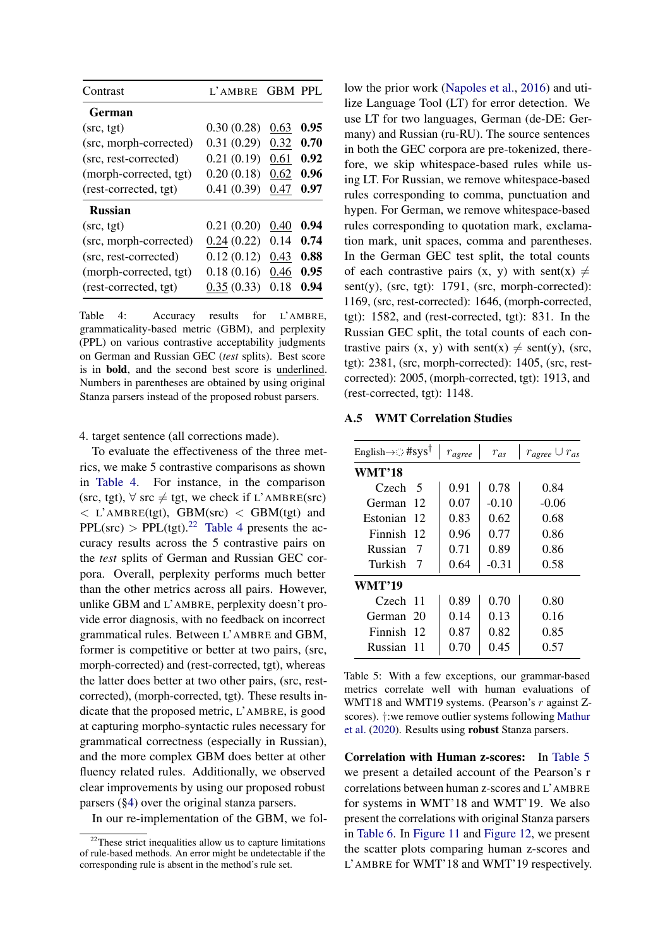<span id="page-13-0"></span>

| Contrast               | $L'$ AMBRE | <b>GBM PPL</b> |      |
|------------------------|------------|----------------|------|
| German                 |            |                |      |
| (src, tgt)             | 0.30(0.28) | 0.63           | 0.95 |
| (src, morph-corrected) | 0.31(0.29) | 0.32           | 0.70 |
| (src, rest-corrected)  | 0.21(0.19) | 0.61           | 0.92 |
| (morph-corrected, tgt) | 0.20(0.18) | 0.62           | 0.96 |
| (rest-corrected, tgt)  | 0.41(0.39) | 0.47           | 0.97 |
| <b>Russian</b>         |            |                |      |
| (src, tgt)             | 0.21(0.20) | 0.40           | 0.94 |
| (src, morph-corrected) | 0.24(0.22) | 0.14           | 0.74 |
| (src, rest-corrected)  | 0.12(0.12) | 0.43           | 0.88 |
| (morph-corrected, tgt) | 0.18(0.16) | 0.46           | 0.95 |
| (rest-corrected, tgt)  | 0.35(0.33) | 0.18           | 0.94 |

Table 4: Accuracy results for L'AMBRE, grammaticality-based metric (GBM), and perplexity (PPL) on various contrastive acceptability judgments on German and Russian GEC (*test* splits). Best score is in bold, and the second best score is underlined. Numbers in parentheses are obtained by using original Stanza parsers instead of the proposed robust parsers.

4. target sentence (all corrections made).

To evaluate the effectiveness of the three metrics, we make 5 contrastive comparisons as shown in [Table 4.](#page-13-0) For instance, in the comparison (src, tgt),  $\forall$  src  $\neq$  tgt, we check if L'AMBRE(src)  $\langle$  L'AMBRE(tgt), GBM(src)  $\langle$  GBM(tgt) and  $PPL(\text{src}) > PPL(\text{tgt})$ .<sup>[22](#page-13-2)</sup> [Table 4](#page-13-0) presents the accuracy results across the 5 contrastive pairs on the *test* splits of German and Russian GEC corpora. Overall, perplexity performs much better than the other metrics across all pairs. However, unlike GBM and L'AMBRE, perplexity doesn't provide error diagnosis, with no feedback on incorrect grammatical rules. Between L'AMBRE and GBM, former is competitive or better at two pairs, (src, morph-corrected) and (rest-corrected, tgt), whereas the latter does better at two other pairs, (src, restcorrected), (morph-corrected, tgt). These results indicate that the proposed metric, L'AMBRE, is good at capturing morpho-syntactic rules necessary for grammatical correctness (especially in Russian), and the more complex GBM does better at other fluency related rules. Additionally, we observed clear improvements by using our proposed robust parsers ([§4\)](#page-3-0) over the original stanza parsers.

In our re-implementation of the GBM, we fol-

low the prior work [\(Napoles et al.,](#page-10-3) [2016\)](#page-10-3) and utilize Language Tool (LT) for error detection. We use LT for two languages, German (de-DE: Germany) and Russian (ru-RU). The source sentences in both the GEC corpora are pre-tokenized, therefore, we skip whitespace-based rules while using LT. For Russian, we remove whitespace-based rules corresponding to comma, punctuation and hypen. For German, we remove whitespace-based rules corresponding to quotation mark, exclamation mark, unit spaces, comma and parentheses. In the German GEC test split, the total counts of each contrastive pairs  $(x, y)$  with sent $(x) \neq$ sent(y), (src, tgt): 1791, (src, morph-corrected): 1169, (src, rest-corrected): 1646, (morph-corrected, tgt): 1582, and (rest-corrected, tgt): 831. In the Russian GEC split, the total counts of each contrastive pairs  $(x, y)$  with sent $(x) \neq$  sent $(y)$ , (src, tgt): 2381, (src, morph-corrected): 1405, (src, restcorrected): 2005, (morph-corrected, tgt): 1913, and (rest-corrected, tgt): 1148.

#### <span id="page-13-1"></span>A.5 WMT Correlation Studies

<span id="page-13-3"></span>

| English $\rightarrow$ : #sys <sup>†</sup> |    | $r_{agree}$ | $r_{as}$ | $r_{agree} \cup r_{as}$ |
|-------------------------------------------|----|-------------|----------|-------------------------|
| WMT'18                                    |    |             |          |                         |
| Czech-                                    | 5  | 0.91        | 0.78     | 0.84                    |
| German                                    | 12 | 0.07        | $-0.10$  | $-0.06$                 |
| Estonian                                  | 12 | 0.83        | 0.62     | 0.68                    |
| Finnish                                   | 12 | 0.96        | 0.77     | 0.86                    |
| Russian                                   | 7  | 0.71        | 0.89     | 0.86                    |
| Turkish                                   | 7  | 0.64        | $-0.31$  | 0.58                    |
| WMT'19                                    |    |             |          |                         |
| Czech 11                                  |    | 0.89        | 0.70     | 0.80                    |
| German 20                                 |    | 0.14        | 0.13     | 0.16                    |
| Finnish                                   | 12 | 0.87        | 0.82     | 0.85                    |
| Russian                                   | 11 | 0.70        | 0.45     | 0.57                    |

Table 5: With a few exceptions, our grammar-based metrics correlate well with human evaluations of WMT18 and WMT19 systems. (Pearson's r against Zscores). †:we remove outlier systems following [Mathur](#page-10-16) [et al.](#page-10-16) [\(2020\)](#page-10-16). Results using robust Stanza parsers.

Correlation with Human z-scores: In [Table 5](#page-13-3) we present a detailed account of the Pearson's r correlations between human z-scores and L'AMBRE for systems in WMT'18 and WMT'19. We also present the correlations with original Stanza parsers in [Table 6.](#page-14-1) In [Figure 11](#page-18-0) and [Figure 12,](#page-19-0) we present the scatter plots comparing human z-scores and L'AMBRE for WMT'18 and WMT'19 respectively.

<span id="page-13-2"></span><sup>&</sup>lt;sup>22</sup>These strict inequalities allow us to capture limitations of rule-based methods. An error might be undetectable if the corresponding rule is absent in the method's rule set.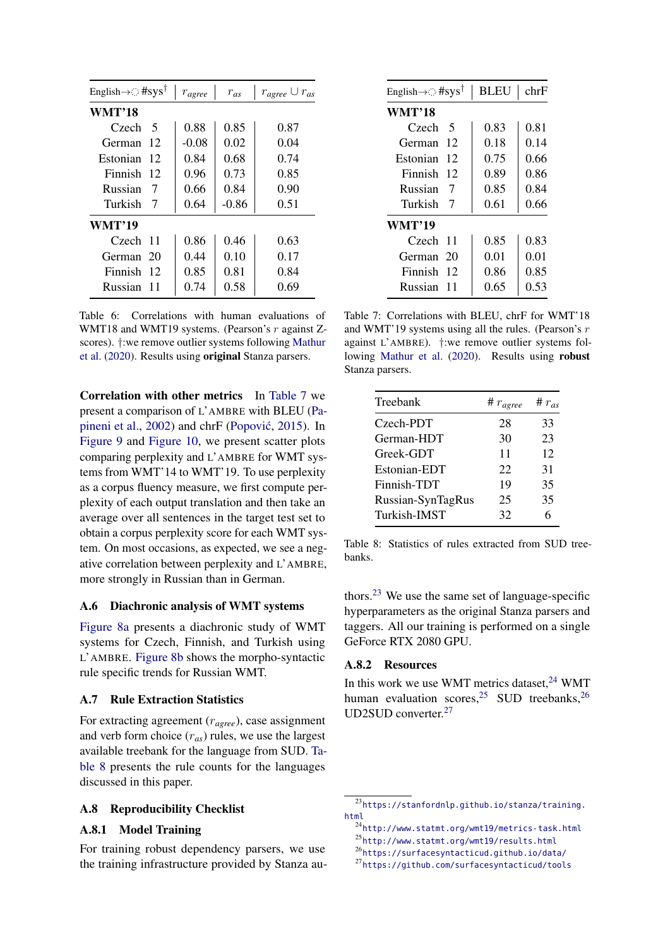<span id="page-14-1"></span>

| English $\rightarrow$ : #sys <sup>†</sup> |    | $r_{agree}$ | $r_{as}$ | $r_{agree} \cup r_{as}$ |  |
|-------------------------------------------|----|-------------|----------|-------------------------|--|
| <b>WMT'18</b>                             |    |             |          |                         |  |
| Czech 5                                   |    | 0.88        | 0.85     | 0.87                    |  |
| German                                    | 12 | $-0.08$     | 0.02     | 0.04                    |  |
| Estonian                                  | 12 | 0.84        | 0.68     | 0.74                    |  |
| Finnish                                   | 12 | 0.96        | 0.73     | 0.85                    |  |
| Russian                                   | 7  | 0.66        | 0.84     | 0.90                    |  |
| Turkish                                   | 7  | 0.64        | $-0.86$  | 0.51                    |  |
| WMT'19                                    |    |             |          |                         |  |
| Czech 11                                  |    | 0.86        | 0.46     | 0.63                    |  |
| German                                    | 20 | 0.44        | 0.10     | 0.17                    |  |
| Finnish                                   | 12 | 0.85        | 0.81     | 0.84                    |  |
| Russian 11                                |    | 0.74        | 0.58     | 0.69                    |  |

Table 6: Correlations with human evaluations of WMT18 and WMT19 systems. (Pearson's  $r$  against Zscores). †:we remove outlier systems following [Mathur](#page-10-16) [et al.](#page-10-16) [\(2020\)](#page-10-16). Results using original Stanza parsers.

Correlation with other metrics In [Table 7](#page-14-2) we present a comparison of L'AMBRE with BLEU [\(Pa](#page-10-0)[pineni et al.,](#page-10-0) [2002\)](#page-10-0) and chrF (Popović, [2015\)](#page-10-1). In [Figure 9](#page-16-0) and [Figure 10,](#page-17-0) we present scatter plots comparing perplexity and L'AMBRE for WMT systems from WMT'14 to WMT'19. To use perplexity as a corpus fluency measure, we first compute perplexity of each output translation and then take an average over all sentences in the target test set to obtain a corpus perplexity score for each WMT system. On most occasions, as expected, we see a negative correlation between perplexity and L'AMBRE, more strongly in Russian than in German.

#### <span id="page-14-0"></span>A.6 Diachronic analysis of WMT systems

[Figure 8a](#page-15-0) presents a diachronic study of WMT systems for Czech, Finnish, and Turkish using L'AMBRE. [Figure 8b](#page-15-0) shows the morpho-syntactic rule specific trends for Russian WMT.

## A.7 Rule Extraction Statistics

For extracting agreement (r*agree*), case assignment and verb form choice (r*as*) rules, we use the largest available treebank for the language from SUD. [Ta](#page-14-3)[ble 8](#page-14-3) presents the rule counts for the languages discussed in this paper.

### A.8 Reproducibility Checklist

## A.8.1 Model Training

For training robust dependency parsers, we use the training infrastructure provided by Stanza au-

<span id="page-14-2"></span>

| English $\rightarrow$ : #sys <sup>†</sup> | <b>BLEU</b> | chrF |  |  |  |
|-------------------------------------------|-------------|------|--|--|--|
| WMT'18                                    |             |      |  |  |  |
| Czech<br>5                                | 0.83        | 0.81 |  |  |  |
| 12<br>German                              | 0.18        | 0.14 |  |  |  |
| 12<br>Estonian                            | 0.75        | 0.66 |  |  |  |
| Finnish<br>12                             | 0.89        | 0.86 |  |  |  |
| Russian<br>7                              | 0.85        | 0.84 |  |  |  |
| Turkish<br>7                              | 0.61        | 0.66 |  |  |  |
| WMT'19                                    |             |      |  |  |  |
| Czech<br>11                               | 0.85        | 0.83 |  |  |  |
| 20<br>German                              | 0.01        | 0.01 |  |  |  |
| Finnish<br>12                             | 0.86        | 0.85 |  |  |  |
| Russian<br>11                             | 0.65        | 0.53 |  |  |  |

Table 7: Correlations with BLEU, chrF for WMT'18 and WMT'19 systems using all the rules. (Pearson's r against L'AMBRE). †:we remove outlier systems following [Mathur et al.](#page-10-16) [\(2020\)](#page-10-16). Results using robust Stanza parsers.

<span id="page-14-3"></span>

| Treebank          | # $r_{agree}$ | # $r_{as}$ |
|-------------------|---------------|------------|
| Czech-PDT         | 28            | 33         |
| German-HDT        | 30            | 23         |
| Greek-GDT         | 11            | 12         |
| Estonian-EDT      | 22            | 31         |
| Finnish-TDT       | 19            | 35         |
| Russian-SynTagRus | 25            | 35         |
| Turkish-IMST      | 32            |            |

Table 8: Statistics of rules extracted from SUD treebanks.

thors.[23](#page-14-4) We use the same set of language-specific hyperparameters as the original Stanza parsers and taggers. All our training is performed on a single GeForce RTX 2080 GPU.

## A.8.2 Resources

In this work we use WMT metrics dataset,  $24$  WMT human evaluation scores,  $25$  SUD treebanks,  $26$ UD2SUD converter.[27](#page-14-8)

<span id="page-14-4"></span><sup>23</sup>[https://stanfordnlp.github.io/stanza/training.](https://stanfordnlp.github.io/stanza/training.html) [html](https://stanfordnlp.github.io/stanza/training.html)

<span id="page-14-5"></span><sup>24</sup><http://www.statmt.org/wmt19/metrics-task.html>

<span id="page-14-6"></span><sup>25</sup><http://www.statmt.org/wmt19/results.html>

<span id="page-14-7"></span><sup>26</sup><https://surfacesyntacticud.github.io/data/>

<span id="page-14-8"></span><sup>27</sup><https://github.com/surfacesyntacticud/tools>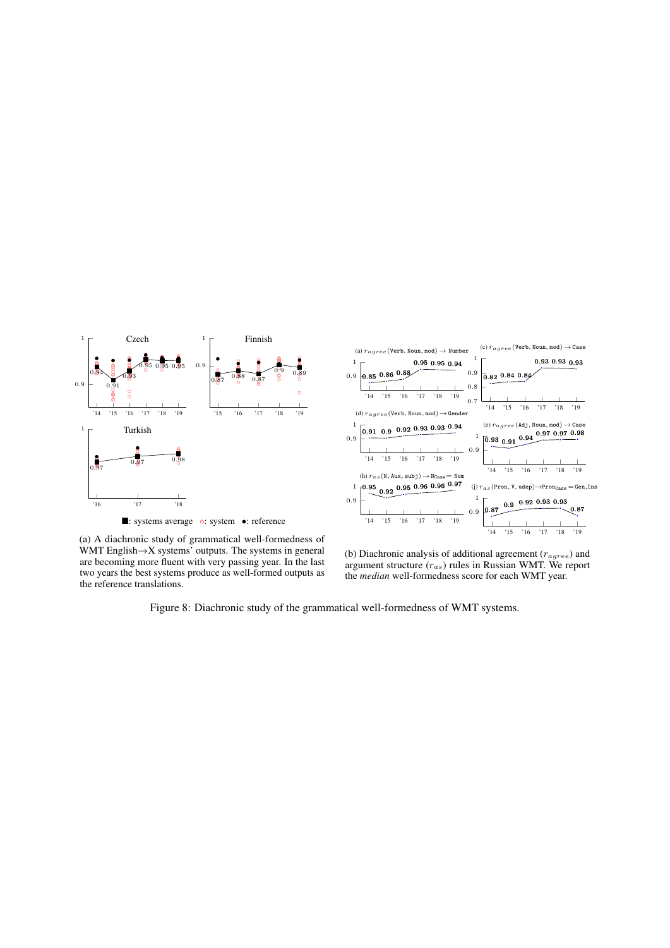<span id="page-15-0"></span>

(a) A diachronic study of grammatical well-formedness of WMT English $\rightarrow$ X systems' outputs. The systems in general are becoming more fluent with very passing year. In the last two years the best systems produce as well-formed outputs as the reference translations.

(b) Diachronic analysis of additional agreement ( $r_{agree}$ ) and argument structure  $(r_{as})$  rules in Russian WMT. We report the *median* well-formedness score for each WMT year.

Figure 8: Diachronic study of the grammatical well-formedness of WMT systems.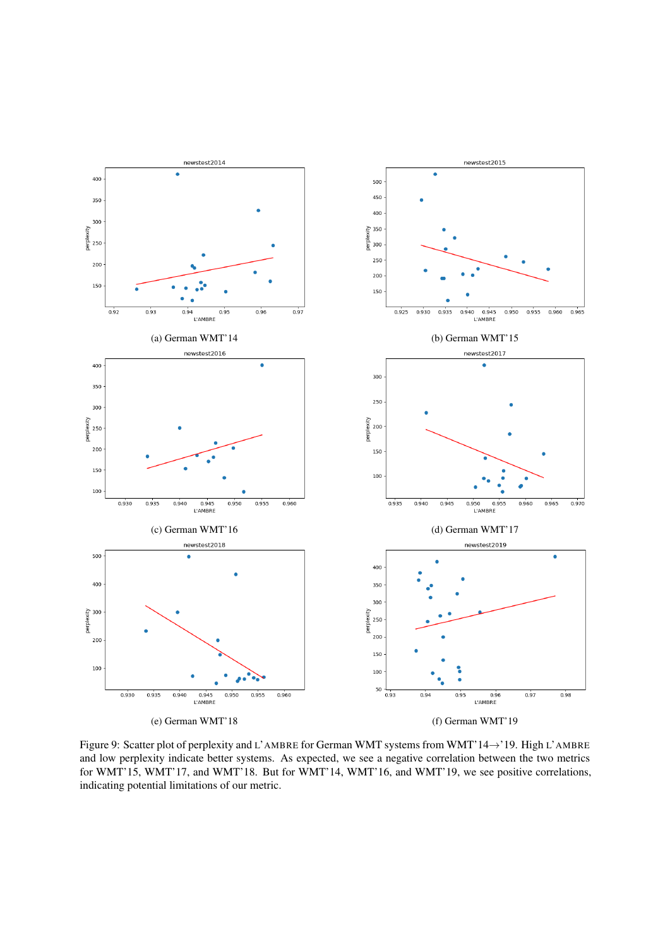<span id="page-16-0"></span>

Figure 9: Scatter plot of perplexity and L'AMBRE for German WMT systems from WMT'14→'19. High L'AMBRE and low perplexity indicate better systems. As expected, we see a negative correlation between the two metrics for WMT'15, WMT'17, and WMT'18. But for WMT'14, WMT'16, and WMT'19, we see positive correlations, indicating potential limitations of our metric.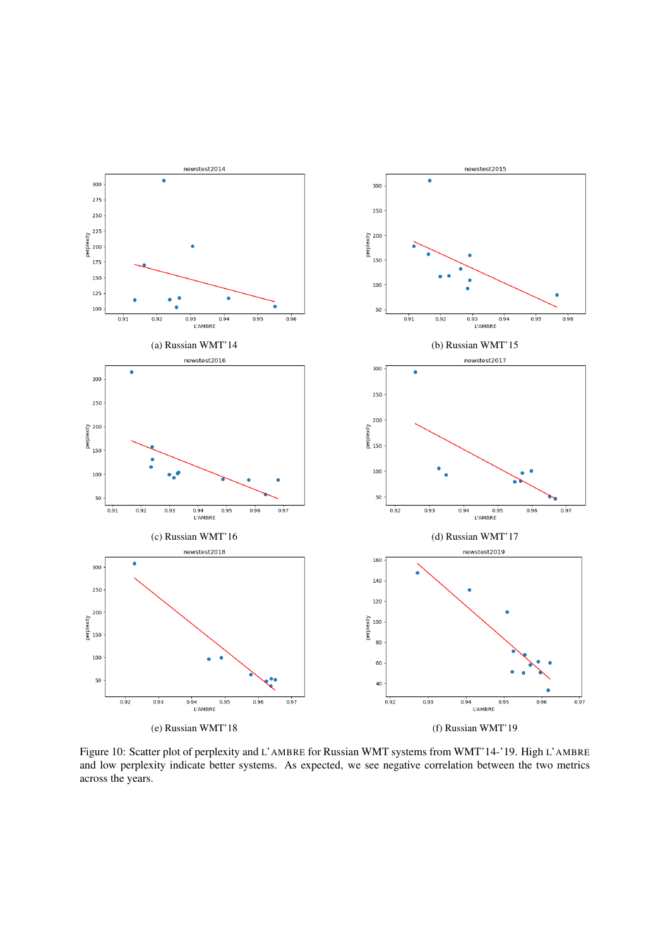<span id="page-17-0"></span>

Figure 10: Scatter plot of perplexity and L'AMBRE for Russian WMT systems from WMT'14-'19. High L'AMBRE and low perplexity indicate better systems. As expected, we see negative correlation between the two metrics across the years.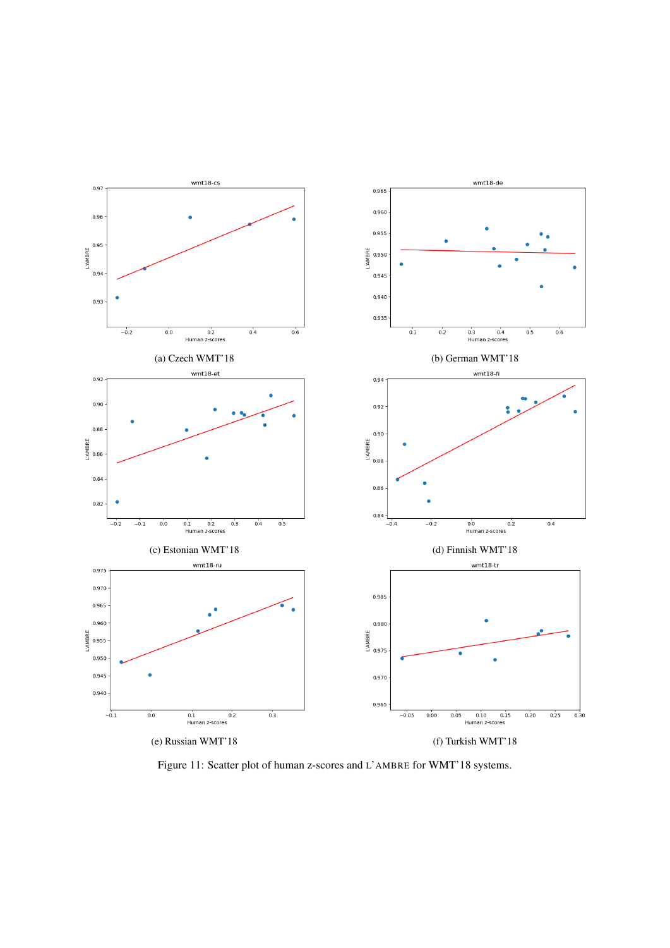<span id="page-18-0"></span>

Figure 11: Scatter plot of human z-scores and L'AMBRE for WMT'18 systems.